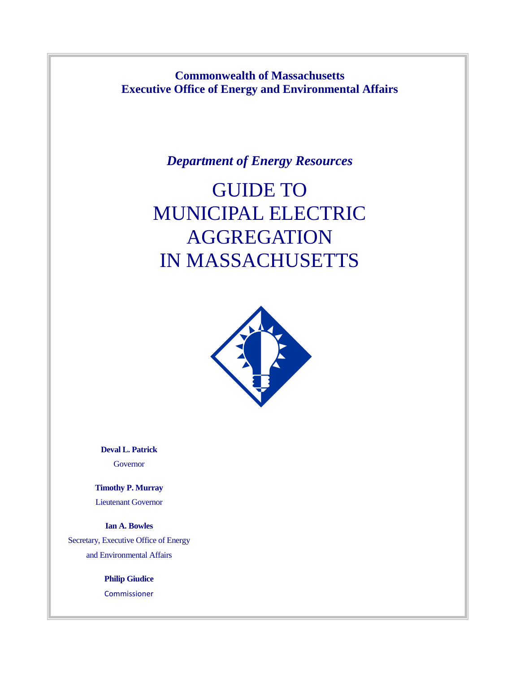**Commonwealth of Massachusetts Executive Office of Energy and Environmental Affairs**

*Department of Energy Resources*

# GUIDE TO MUNICIPAL ELECTRIC **AGGREGATION** IN MASSACHUSETTS



**Deval L. Patrick** Governor

**Timothy P. Murray** Lieutenant Governor

**Ian A. Bowles** Secretary, Executive Office of Energy and Environmental Affairs

> **Philip Giudice** Commissioner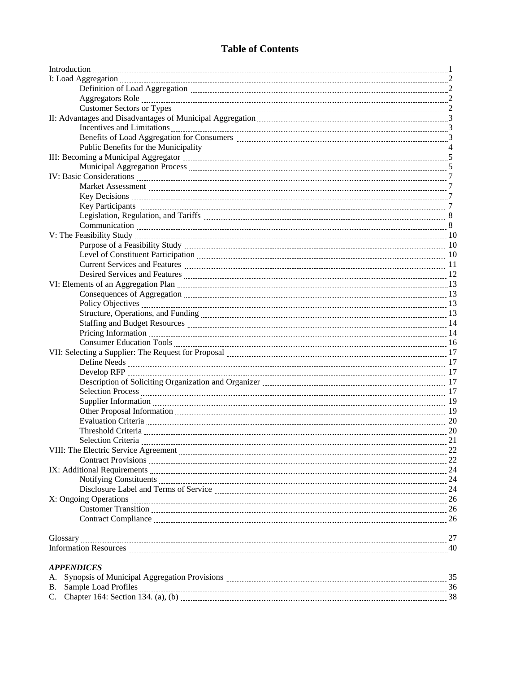## **Table of Contents**

| Current Services and Features <b>Manual Election Contract Contract Contract Contract Contract Contract Contract Contract Contract Contract Contract Contract Contract Contract Contract Contract Contract Contract Contract Cont</b> |  |
|--------------------------------------------------------------------------------------------------------------------------------------------------------------------------------------------------------------------------------------|--|
|                                                                                                                                                                                                                                      |  |
| VI: Elements of an Aggregation Plan <b>Marting Community</b> 13                                                                                                                                                                      |  |
|                                                                                                                                                                                                                                      |  |
|                                                                                                                                                                                                                                      |  |
|                                                                                                                                                                                                                                      |  |
|                                                                                                                                                                                                                                      |  |
|                                                                                                                                                                                                                                      |  |
|                                                                                                                                                                                                                                      |  |
|                                                                                                                                                                                                                                      |  |
|                                                                                                                                                                                                                                      |  |
|                                                                                                                                                                                                                                      |  |
|                                                                                                                                                                                                                                      |  |
|                                                                                                                                                                                                                                      |  |
|                                                                                                                                                                                                                                      |  |
|                                                                                                                                                                                                                                      |  |
|                                                                                                                                                                                                                                      |  |
| Threshold Criteria 20 20                                                                                                                                                                                                             |  |
|                                                                                                                                                                                                                                      |  |
|                                                                                                                                                                                                                                      |  |
| Contract Provisions 22                                                                                                                                                                                                               |  |
|                                                                                                                                                                                                                                      |  |
|                                                                                                                                                                                                                                      |  |
| Disclosure Label and Terms of Service Material Assemblance 24                                                                                                                                                                        |  |
| X: Ongoing Operations 26                                                                                                                                                                                                             |  |
|                                                                                                                                                                                                                                      |  |
|                                                                                                                                                                                                                                      |  |
|                                                                                                                                                                                                                                      |  |
|                                                                                                                                                                                                                                      |  |
| <b>APPENDICES</b>                                                                                                                                                                                                                    |  |

| A. Synopsis of Municipal Aggregation Provisions |  |
|-------------------------------------------------|--|
| B. Sample Load Profiles                         |  |
| C. Chapter 164: Section 134. (a), (b)           |  |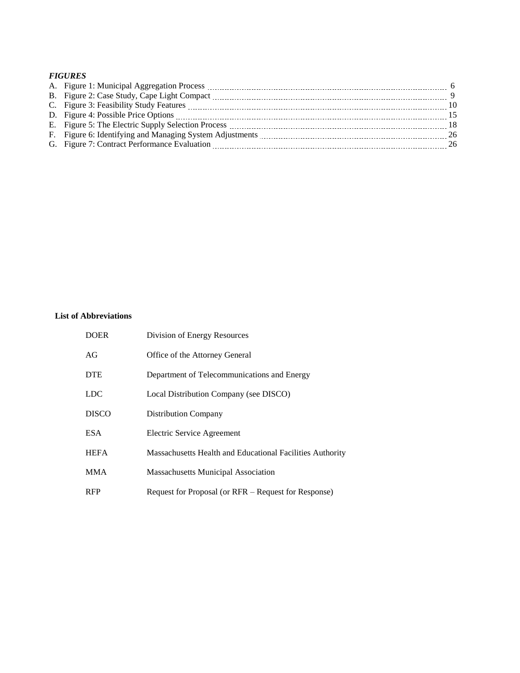### *FIGURES*

|  | $\overline{9}$  |
|--|-----------------|
|  | $\overline{10}$ |
|  | -15             |
|  | -18             |
|  | 26              |
|  | -26             |

### **List of Abbreviations**

| <b>DOER</b>  | Division of Energy Resources                              |
|--------------|-----------------------------------------------------------|
| AG           | Office of the Attorney General                            |
| <b>DTE</b>   | Department of Telecommunications and Energy               |
| <b>LDC</b>   | Local Distribution Company (see DISCO)                    |
| <b>DISCO</b> | <b>Distribution Company</b>                               |
| <b>ESA</b>   | Electric Service Agreement                                |
| <b>HEFA</b>  | Massachusetts Health and Educational Facilities Authority |
| <b>MMA</b>   | <b>Massachusetts Municipal Association</b>                |
| <b>RFP</b>   | Request for Proposal (or RFR – Request for Response)      |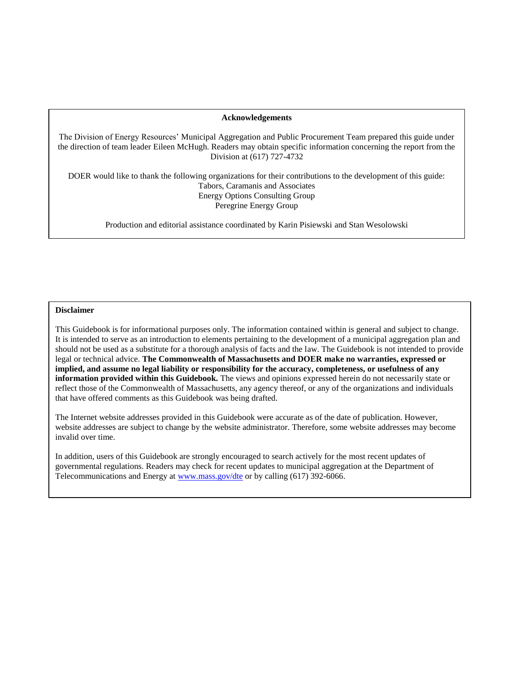#### **Acknowledgements**

The Division of Energy Resources' Municipal Aggregation and Public Procurement Team prepared this guide under the direction of team leader Eileen McHugh. Readers may obtain specific information concerning the report from the Division at (617) 727-4732

DOER would like to thank the following organizations for their contributions to the development of this guide: Tabors, Caramanis and Associates Energy Options Consulting Group Peregrine Energy Group

Production and editorial assistance coordinated by Karin Pisiewski and Stan Wesolowski

#### **Disclaimer**

This Guidebook is for informational purposes only. The information contained within is general and subject to change. It is intended to serve as an introduction to elements pertaining to the development of a municipal aggregation plan and should not be used as a substitute for a thorough analysis of facts and the law. The Guidebook is not intended to provide legal or technical advice. **The Commonwealth of Massachusetts and DOER make no warranties, expressed or implied, and assume no legal liability or responsibility for the accuracy, completeness, or usefulness of any information provided within this Guidebook.** The views and opinions expressed herein do not necessarily state or reflect those of the Commonwealth of Massachusetts, any agency thereof, or any of the organizations and individuals that have offered comments as this Guidebook was being drafted.

The Internet website addresses provided in this Guidebook were accurate as of the date of publication. However, website addresses are subject to change by the website administrator. Therefore, some website addresses may become invalid over time.

In addition, users of this Guidebook are strongly encouraged to search actively for the most recent updates of governmental regulations. Readers may check for recent updates to municipal aggregation at the Department of Telecommunications and Energy at<www.mass.gov/dte> or by calling (617) 392-6066.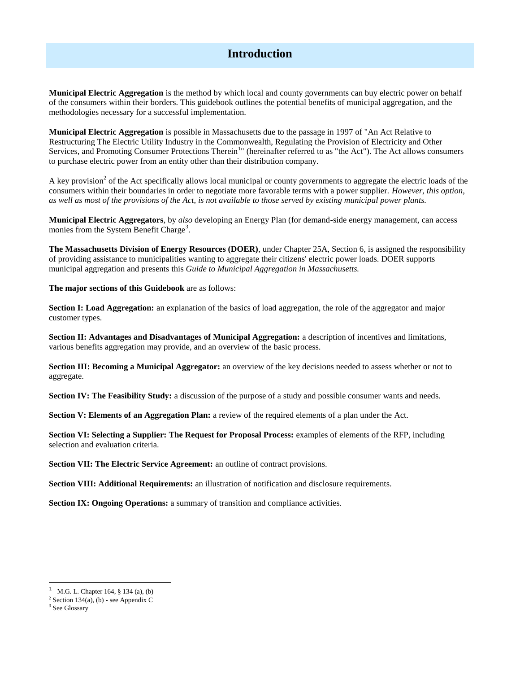## **Introduction**

**Municipal Electric Aggregation** is the method by which local and county governments can buy electric power on behalf of the consumers within their borders. This guidebook outlines the potential benefits of municipal aggregation, and the methodologies necessary for a successful implementation.

**Municipal Electric Aggregation** is possible in Massachusetts due to the passage in 1997 of "An Act Relative to Restructuring The Electric Utility Industry in the Commonwealth, Regulating the Provision of Electricity and Other Services, and Promoting Consumer Protections Therein<sup>1</sup>" (hereinafter referred to as "the Act"). The Act allows consumers to purchase electric power from an entity other than their distribution company.

A key provision<sup>2</sup> of the Act specifically allows local municipal or county governments to aggregate the electric loads of the consumers within their boundaries in order to negotiate more favorable terms with a power supplier. *However, this option, as well as most of the provisions of the Act, is not available to those served by existing municipal power plants.*

**Municipal Electric Aggregators**, by *also* developing an Energy Plan (for demand-side energy management, can access monies from the System Benefit Charge<sup>3</sup>.

**The Massachusetts Division of Energy Resources (DOER)**, under Chapter 25A, Section 6, is assigned the responsibility of providing assistance to municipalities wanting to aggregate their citizens' electric power loads. DOER supports municipal aggregation and presents this *Guide to Municipal Aggregation in Massachusetts.*

**The major sections of this Guidebook** are as follows:

**Section I: Load Aggregation:** an explanation of the basics of load aggregation, the role of the aggregator and major customer types.

**Section II: Advantages and Disadvantages of Municipal Aggregation:** a description of incentives and limitations, various benefits aggregation may provide, and an overview of the basic process.

**Section III: Becoming a Municipal Aggregator:** an overview of the key decisions needed to assess whether or not to aggregate.

**Section IV: The Feasibility Study:** a discussion of the purpose of a study and possible consumer wants and needs.

**Section V: Elements of an Aggregation Plan:** a review of the required elements of a plan under the Act.

**Section VI: Selecting a Supplier: The Request for Proposal Process:** examples of elements of the RFP, including selection and evaluation criteria.

**Section VII: The Electric Service Agreement:** an outline of contract provisions.

**Section VIII: Additional Requirements:** an illustration of notification and disclosure requirements.

**Section IX: Ongoing Operations:** a summary of transition and compliance activities.

l

<sup>1</sup> M.G. L. Chapter 164, § 134 (a), (b)

 $2$  Section 134(a), (b) - see Appendix C

<sup>&</sup>lt;sup>3</sup> See Glossary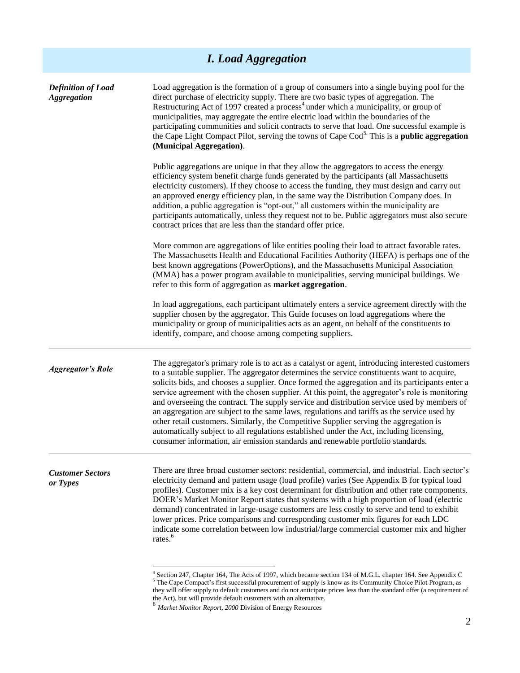| <b>I.</b> Load Aggregation                      |                                                                                                                                                                                                                                                                                                                                                                                                                                                                                                                                                                                                                                                                                                                                                                                                                                                                             |  |
|-------------------------------------------------|-----------------------------------------------------------------------------------------------------------------------------------------------------------------------------------------------------------------------------------------------------------------------------------------------------------------------------------------------------------------------------------------------------------------------------------------------------------------------------------------------------------------------------------------------------------------------------------------------------------------------------------------------------------------------------------------------------------------------------------------------------------------------------------------------------------------------------------------------------------------------------|--|
| <b>Definition of Load</b><br><b>Aggregation</b> | Load aggregation is the formation of a group of consumers into a single buying pool for the<br>direct purchase of electricity supply. There are two basic types of aggregation. The<br>Restructuring Act of 1997 created a process <sup>4</sup> under which a municipality, or group of<br>municipalities, may aggregate the entire electric load within the boundaries of the<br>participating communities and solicit contracts to serve that load. One successful example is<br>the Cape Light Compact Pilot, serving the towns of Cape Cod <sup>5.</sup> This is a <b>public aggregation</b><br>(Municipal Aggregation).                                                                                                                                                                                                                                                |  |
|                                                 | Public aggregations are unique in that they allow the aggregators to access the energy<br>efficiency system benefit charge funds generated by the participants (all Massachusetts<br>electricity customers). If they choose to access the funding, they must design and carry out<br>an approved energy efficiency plan, in the same way the Distribution Company does. In<br>addition, a public aggregation is "opt-out," all customers within the municipality are<br>participants automatically, unless they request not to be. Public aggregators must also secure<br>contract prices that are less than the standard offer price.                                                                                                                                                                                                                                      |  |
|                                                 | More common are aggregations of like entities pooling their load to attract favorable rates.<br>The Massachusetts Health and Educational Facilities Authority (HEFA) is perhaps one of the<br>best known aggregations (PowerOptions), and the Massachusetts Municipal Association<br>(MMA) has a power program available to municipalities, serving municipal buildings. We<br>refer to this form of aggregation as market aggregation.                                                                                                                                                                                                                                                                                                                                                                                                                                     |  |
|                                                 | In load aggregations, each participant ultimately enters a service agreement directly with the<br>supplier chosen by the aggregator. This Guide focuses on load aggregations where the<br>municipality or group of municipalities acts as an agent, on behalf of the constituents to<br>identify, compare, and choose among competing suppliers.                                                                                                                                                                                                                                                                                                                                                                                                                                                                                                                            |  |
| <b>Aggregator's Role</b>                        | The aggregator's primary role is to act as a catalyst or agent, introducing interested customers<br>to a suitable supplier. The aggregator determines the service constituents want to acquire,<br>solicits bids, and chooses a supplier. Once formed the aggregation and its participants enter a<br>service agreement with the chosen supplier. At this point, the aggregator's role is monitoring<br>and overseeing the contract. The supply service and distribution service used by members of<br>an aggregation are subject to the same laws, regulations and tariffs as the service used by<br>other retail customers. Similarly, the Competitive Supplier serving the aggregation is<br>automatically subject to all regulations established under the Act, including licensing,<br>consumer information, air emission standards and renewable portfolio standards. |  |
| <b>Customer Sectors</b><br>or Types             | There are three broad customer sectors: residential, commercial, and industrial. Each sector's<br>electricity demand and pattern usage (load profile) varies (See Appendix B for typical load<br>profiles). Customer mix is a key cost determinant for distribution and other rate components.<br>DOER's Market Monitor Report states that systems with a high proportion of load (electric<br>demand) concentrated in large-usage customers are less costly to serve and tend to exhibit<br>lower prices. Price comparisons and corresponding customer mix figures for each LDC<br>indicate some correlation between low industrial/large commercial customer mix and higher<br>rates. <sup>6</sup>                                                                                                                                                                        |  |
|                                                 | <sup>4</sup> Section 247, Chapter 164, The Acts of 1997, which became section 134 of M.G.L. chapter 164. See Appendix C                                                                                                                                                                                                                                                                                                                                                                                                                                                                                                                                                                                                                                                                                                                                                     |  |

 $<sup>5</sup>$  The Cape Compact's first successful procurement of supply is know as its Community Choice Pilot Program, as</sup> they will offer supply to default customers and do not anticipate prices less than the standard offer (a requirement of the Act), but will provide default customers with an alternative. <sup>6</sup> *Market Monitor Report, 2000* Division of Energy Resources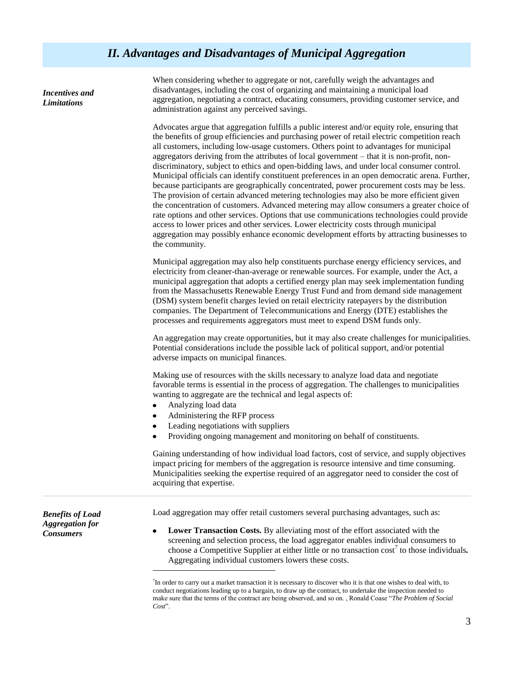*Incentives and Limitations*

When considering whether to aggregate or not, carefully weigh the advantages and disadvantages, including the cost of organizing and maintaining a municipal load aggregation, negotiating a contract, educating consumers, providing customer service, and administration against any perceived savings.

Advocates argue that aggregation fulfills a public interest and/or equity role, ensuring that the benefits of group efficiencies and purchasing power of retail electric competition reach all customers, including low-usage customers. Others point to advantages for municipal aggregators deriving from the attributes of local government – that it is non-profit, nondiscriminatory, subject to ethics and open-bidding laws, and under local consumer control. Municipal officials can identify constituent preferences in an open democratic arena. Further, because participants are geographically concentrated, power procurement costs may be less. The provision of certain advanced metering technologies may also be more efficient given the concentration of customers. Advanced metering may allow consumers a greater choice of rate options and other services. Options that use communications technologies could provide access to lower prices and other services. Lower electricity costs through municipal aggregation may possibly enhance economic development efforts by attracting businesses to the community.

Municipal aggregation may also help constituents purchase energy efficiency services, and electricity from cleaner-than-average or renewable sources. For example, under the Act, a municipal aggregation that adopts a certified energy plan may seek implementation funding from the Massachusetts Renewable Energy Trust Fund and from demand side management (DSM) system benefit charges levied on retail electricity ratepayers by the distribution companies. The Department of Telecommunications and Energy (DTE) establishes the processes and requirements aggregators must meet to expend DSM funds only.

An aggregation may create opportunities, but it may also create challenges for municipalities. Potential considerations include the possible lack of political support, and/or potential adverse impacts on municipal finances.

Making use of resources with the skills necessary to analyze load data and negotiate favorable terms is essential in the process of aggregation. The challenges to municipalities wanting to aggregate are the technical and legal aspects of:

Analyzing load data

l

- Administering the RFP process
- Leading negotiations with suppliers
- Providing ongoing management and monitoring on behalf of constituents.

Gaining understanding of how individual load factors, cost of service, and supply objectives impact pricing for members of the aggregation is resource intensive and time consuming. Municipalities seeking the expertise required of an aggregator need to consider the cost of acquiring that expertise.

Load aggregation may offer retail customers several purchasing advantages, such as:

*Benefits of Load Aggregation for Consumers*

**Lower Transaction Costs.** By alleviating most of the effort associated with the screening and selection process, the load aggregator enables individual consumers to choose a Competitive Supplier at either little or no transaction cost<sup>7</sup> to those individuals. Aggregating individual customers lowers these costs.

<sup>7</sup> In order to carry out a market transaction it is necessary to discover who it is that one wishes to deal with, to conduct negotiations leading up to a bargain, to draw up the contract, to undertake the inspection needed to make sure that the terms of the contract are being observed, and so on., Ronald Coase "The Problem of Social" Cost<sup>"</sup>.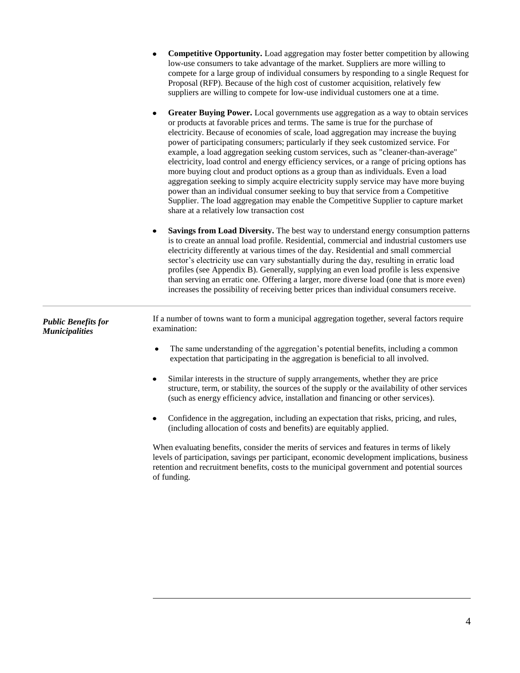|                                                     | <b>Competitive Opportunity.</b> Load aggregation may foster better competition by allowing<br>low-use consumers to take advantage of the market. Suppliers are more willing to<br>compete for a large group of individual consumers by responding to a single Request for<br>Proposal (RFP). Because of the high cost of customer acquisition, relatively few<br>suppliers are willing to compete for low-use individual customers one at a time.<br>Greater Buying Power. Local governments use aggregation as a way to obtain services<br>$\bullet$<br>or products at favorable prices and terms. The same is true for the purchase of<br>electricity. Because of economies of scale, load aggregation may increase the buying<br>power of participating consumers; particularly if they seek customized service. For<br>example, a load aggregation seeking custom services, such as "cleaner-than-average"<br>electricity, load control and energy efficiency services, or a range of pricing options has<br>more buying clout and product options as a group than as individuals. Even a load<br>aggregation seeking to simply acquire electricity supply service may have more buying<br>power than an individual consumer seeking to buy that service from a Competitive<br>Supplier. The load aggregation may enable the Competitive Supplier to capture market<br>share at a relatively low transaction cost |
|-----------------------------------------------------|-----------------------------------------------------------------------------------------------------------------------------------------------------------------------------------------------------------------------------------------------------------------------------------------------------------------------------------------------------------------------------------------------------------------------------------------------------------------------------------------------------------------------------------------------------------------------------------------------------------------------------------------------------------------------------------------------------------------------------------------------------------------------------------------------------------------------------------------------------------------------------------------------------------------------------------------------------------------------------------------------------------------------------------------------------------------------------------------------------------------------------------------------------------------------------------------------------------------------------------------------------------------------------------------------------------------------------------------------------------------------------------------------------------------------|
|                                                     | Savings from Load Diversity. The best way to understand energy consumption patterns<br>٠<br>is to create an annual load profile. Residential, commercial and industrial customers use<br>electricity differently at various times of the day. Residential and small commercial<br>sector's electricity use can vary substantially during the day, resulting in erratic load<br>profiles (see Appendix B). Generally, supplying an even load profile is less expensive<br>than serving an erratic one. Offering a larger, more diverse load (one that is more even)<br>increases the possibility of receiving better prices than individual consumers receive.                                                                                                                                                                                                                                                                                                                                                                                                                                                                                                                                                                                                                                                                                                                                                         |
| <b>Public Benefits for</b><br><b>Municipalities</b> | If a number of towns want to form a municipal aggregation together, several factors require<br>examination:<br>The same understanding of the aggregation's potential benefits, including a common<br>$\bullet$<br>expectation that participating in the aggregation is beneficial to all involved.<br>Similar interests in the structure of supply arrangements, whether they are price<br>$\bullet$<br>structure, term, or stability, the sources of the supply or the availability of other services                                                                                                                                                                                                                                                                                                                                                                                                                                                                                                                                                                                                                                                                                                                                                                                                                                                                                                                |
|                                                     | (such as energy efficiency advice, installation and financing or other services).<br>Confidence in the aggregation, including an expectation that risks, pricing, and rules,<br>(including allocation of costs and benefits) are equitably applied.<br>When evaluating benefits, consider the merits of services and features in terms of likely<br>levels of participation, savings per participant, economic development implications, business<br>retention and recruitment benefits, costs to the municipal government and potential sources<br>of funding.                                                                                                                                                                                                                                                                                                                                                                                                                                                                                                                                                                                                                                                                                                                                                                                                                                                       |

 $\overline{\phantom{a}}$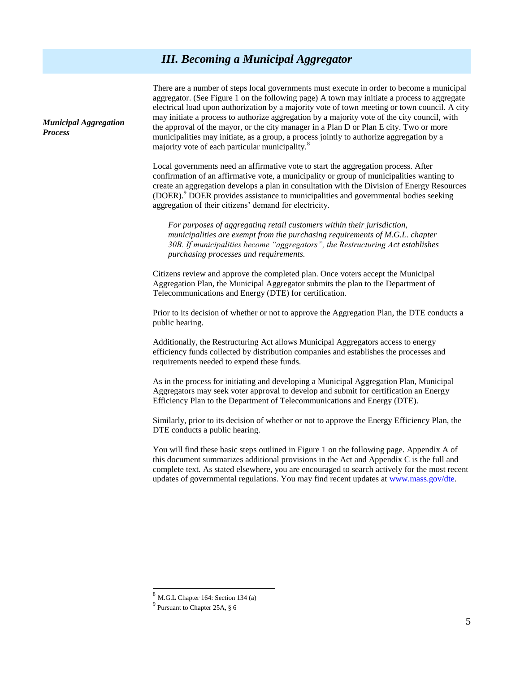## *III. Becoming a Municipal Aggregator*

There are a number of steps local governments must execute in order to become a municipal aggregator. (See Figure 1 on the following page) A town may initiate a process to aggregate electrical load upon authorization by a majority vote of town meeting or town council. A city may initiate a process to authorize aggregation by a majority vote of the city council, with the approval of the mayor, or the city manager in a Plan D or Plan E city. Two or more municipalities may initiate, as a group, a process jointly to authorize aggregation by a majority vote of each particular municipality.<sup>8</sup>

Local governments need an affirmative vote to start the aggregation process. After confirmation of an affirmative vote, a municipality or group of municipalities wanting to create an aggregation develops a plan in consultation with the Division of Energy Resources (DOER).<sup>9</sup> DOER provides assistance to municipalities and governmental bodies seeking aggregation of their citizens' demand for electricity.

*For purposes of aggregating retail customers within their jurisdiction, municipalities are exempt from the purchasing requirements of M.G.L. chapter 30B. If municipalities become "aggregators", the Restructuring Act establishes purchasing processes and requirements.* 

Citizens review and approve the completed plan. Once voters accept the Municipal Aggregation Plan, the Municipal Aggregator submits the plan to the Department of Telecommunications and Energy (DTE) for certification.

Prior to its decision of whether or not to approve the Aggregation Plan, the DTE conducts a public hearing.

Additionally, the Restructuring Act allows Municipal Aggregators access to energy efficiency funds collected by distribution companies and establishes the processes and requirements needed to expend these funds.

As in the process for initiating and developing a Municipal Aggregation Plan, Municipal Aggregators may seek voter approval to develop and submit for certification an Energy Efficiency Plan to the Department of Telecommunications and Energy (DTE).

Similarly, prior to its decision of whether or not to approve the Energy Efficiency Plan, the DTE conducts a public hearing.

You will find these basic steps outlined in Figure 1 on the following page. Appendix A of this document summarizes additional provisions in the Act and Appendix C is the full and complete text. As stated elsewhere, you are encouraged to search actively for the most recent updates of governmental regulations. You may find recent updates a[t www.mass.gov/dte.](http://www.gov/dte)

 $\overline{a}$ 

*Municipal Aggregation Process*

 $8$  M.G.L Chapter 164: Section 134 (a)

<sup>9</sup> Pursuant to Chapter 25A, § 6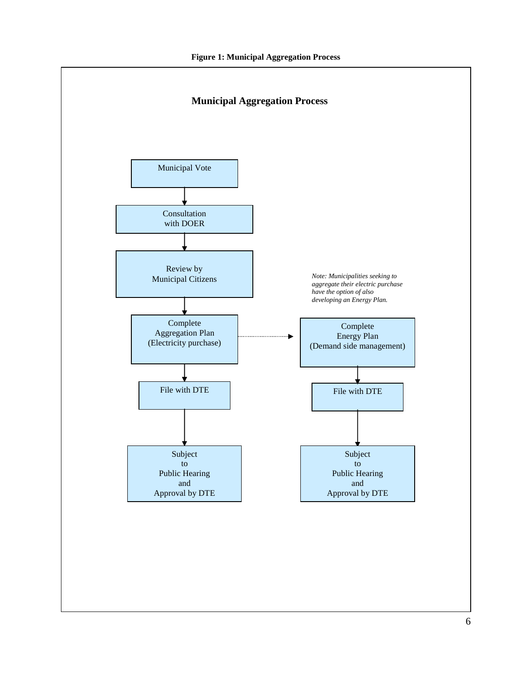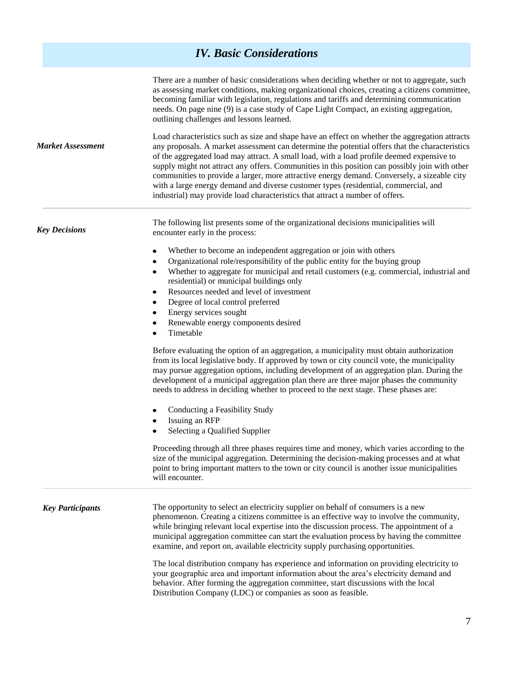## *IV. Basic Considerations*

| <b>Market Assessment</b> | There are a number of basic considerations when deciding whether or not to aggregate, such<br>as assessing market conditions, making organizational choices, creating a citizens committee,<br>becoming familiar with legislation, regulations and tariffs and determining communication<br>needs. On page nine (9) is a case study of Cape Light Compact, an existing aggregation,<br>outlining challenges and lessons learned.                                                                                                                                                                                                                                       |  |
|--------------------------|------------------------------------------------------------------------------------------------------------------------------------------------------------------------------------------------------------------------------------------------------------------------------------------------------------------------------------------------------------------------------------------------------------------------------------------------------------------------------------------------------------------------------------------------------------------------------------------------------------------------------------------------------------------------|--|
|                          | Load characteristics such as size and shape have an effect on whether the aggregation attracts<br>any proposals. A market assessment can determine the potential offers that the characteristics<br>of the aggregated load may attract. A small load, with a load profile deemed expensive to<br>supply might not attract any offers. Communities in this position can possibly join with other<br>communities to provide a larger, more attractive energy demand. Conversely, a sizeable city<br>with a large energy demand and diverse customer types (residential, commercial, and<br>industrial) may provide load characteristics that attract a number of offers. |  |
| <b>Key Decisions</b>     | The following list presents some of the organizational decisions municipalities will<br>encounter early in the process:                                                                                                                                                                                                                                                                                                                                                                                                                                                                                                                                                |  |
|                          | Whether to become an independent aggregation or join with others<br>$\bullet$                                                                                                                                                                                                                                                                                                                                                                                                                                                                                                                                                                                          |  |
|                          | Organizational role/responsibility of the public entity for the buying group<br>$\bullet$                                                                                                                                                                                                                                                                                                                                                                                                                                                                                                                                                                              |  |
|                          | Whether to aggregate for municipal and retail customers (e.g. commercial, industrial and<br>$\bullet$<br>residential) or municipal buildings only                                                                                                                                                                                                                                                                                                                                                                                                                                                                                                                      |  |
|                          | Resources needed and level of investment<br>$\bullet$                                                                                                                                                                                                                                                                                                                                                                                                                                                                                                                                                                                                                  |  |
|                          | Degree of local control preferred<br>$\bullet$                                                                                                                                                                                                                                                                                                                                                                                                                                                                                                                                                                                                                         |  |
|                          | Energy services sought<br>٠                                                                                                                                                                                                                                                                                                                                                                                                                                                                                                                                                                                                                                            |  |
|                          | Renewable energy components desired<br>٠<br>Timetable<br>$\bullet$                                                                                                                                                                                                                                                                                                                                                                                                                                                                                                                                                                                                     |  |
|                          | Before evaluating the option of an aggregation, a municipality must obtain authorization<br>from its local legislative body. If approved by town or city council vote, the municipality<br>may pursue aggregation options, including development of an aggregation plan. During the<br>development of a municipal aggregation plan there are three major phases the community<br>needs to address in deciding whether to proceed to the next stage. These phases are:                                                                                                                                                                                                  |  |
|                          | Conducting a Feasibility Study<br>٠<br>Issuing an RFP<br>٠                                                                                                                                                                                                                                                                                                                                                                                                                                                                                                                                                                                                             |  |
|                          | Selecting a Qualified Supplier<br>$\bullet$                                                                                                                                                                                                                                                                                                                                                                                                                                                                                                                                                                                                                            |  |
|                          | Proceeding through all three phases requires time and money, which varies according to the<br>size of the municipal aggregation. Determining the decision-making processes and at what<br>point to bring important matters to the town or city council is another issue municipalities<br>will encounter.                                                                                                                                                                                                                                                                                                                                                              |  |
| <b>Key Participants</b>  | The opportunity to select an electricity supplier on behalf of consumers is a new<br>phenomenon. Creating a citizens committee is an effective way to involve the community,<br>while bringing relevant local expertise into the discussion process. The appointment of a<br>municipal aggregation committee can start the evaluation process by having the committee<br>examine, and report on, available electricity supply purchasing opportunities.                                                                                                                                                                                                                |  |
|                          | The local distribution company has experience and information on providing electricity to<br>your geographic area and important information about the area's electricity demand and<br>behavior. After forming the aggregation committee, start discussions with the local<br>Distribution Company (LDC) or companies as soon as feasible.                                                                                                                                                                                                                                                                                                                             |  |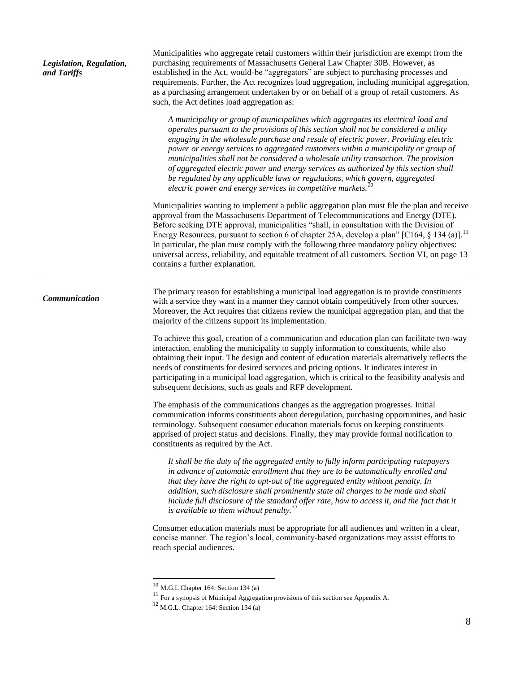| Legislation, Regulation,<br>and Tariffs | Municipalities who aggregate retail customers within their jurisdiction are exempt from the<br>purchasing requirements of Massachusetts General Law Chapter 30B. However, as<br>established in the Act, would-be "aggregators" are subject to purchasing processes and<br>requirements. Further, the Act recognizes load aggregation, including municipal aggregation,<br>as a purchasing arrangement undertaken by or on behalf of a group of retail customers. As<br>such, the Act defines load aggregation as:                                                                                                                                                                       |
|-----------------------------------------|-----------------------------------------------------------------------------------------------------------------------------------------------------------------------------------------------------------------------------------------------------------------------------------------------------------------------------------------------------------------------------------------------------------------------------------------------------------------------------------------------------------------------------------------------------------------------------------------------------------------------------------------------------------------------------------------|
|                                         | A municipality or group of municipalities which aggregates its electrical load and<br>operates pursuant to the provisions of this section shall not be considered a utility<br>engaging in the wholesale purchase and resale of electric power. Providing electric<br>power or energy services to aggregated customers within a municipality or group of<br>municipalities shall not be considered a wholesale utility transaction. The provision<br>of aggregated electric power and energy services as authorized by this section shall<br>be regulated by any applicable laws or regulations, which govern, aggregated<br>electric power and energy services in competitive markets. |
|                                         | Municipalities wanting to implement a public aggregation plan must file the plan and receive<br>approval from the Massachusetts Department of Telecommunications and Energy (DTE).<br>Before seeking DTE approval, municipalities "shall, in consultation with the Division of<br>Energy Resources, pursuant to section 6 of chapter 25A, develop a plan" [C164, § 134 (a)]. <sup>11</sup><br>In particular, the plan must comply with the following three mandatory policy objectives:<br>universal access, reliability, and equitable treatment of all customers. Section VI, on page 13<br>contains a further explanation.                                                           |
| Communication                           | The primary reason for establishing a municipal load aggregation is to provide constituents<br>with a service they want in a manner they cannot obtain competitively from other sources.<br>Moreover, the Act requires that citizens review the municipal aggregation plan, and that the<br>majority of the citizens support its implementation.                                                                                                                                                                                                                                                                                                                                        |
|                                         | To achieve this goal, creation of a communication and education plan can facilitate two-way<br>interaction, enabling the municipality to supply information to constituents, while also<br>obtaining their input. The design and content of education materials alternatively reflects the<br>needs of constituents for desired services and pricing options. It indicates interest in<br>participating in a municipal load aggregation, which is critical to the feasibility analysis and<br>subsequent decisions, such as goals and RFP development.                                                                                                                                  |
|                                         | The emphasis of the communications changes as the aggregation progresses. Initial<br>communication informs constituents about deregulation, purchasing opportunities, and basic<br>terminology. Subsequent consumer education materials focus on keeping constituents<br>apprised of project status and decisions. Finally, they may provide formal notification to<br>constituents as required by the Act.                                                                                                                                                                                                                                                                             |
|                                         | It shall be the duty of the aggregated entity to fully inform participating ratepayers<br>in advance of automatic enrollment that they are to be automatically enrolled and<br>that they have the right to opt-out of the aggregated entity without penalty. In<br>addition, such disclosure shall prominently state all charges to be made and shall<br>include full disclosure of the standard offer rate, how to access it, and the fact that it<br>is available to them without penalty. <sup>12</sup>                                                                                                                                                                              |
|                                         | Consumer education materials must be appropriate for all audiences and written in a clear,<br>concise manner. The region's local, community-based organizations may assist efforts to<br>reach special audiences.                                                                                                                                                                                                                                                                                                                                                                                                                                                                       |
|                                         |                                                                                                                                                                                                                                                                                                                                                                                                                                                                                                                                                                                                                                                                                         |

 $10$  M.G.L Chapter 164: Section 134 (a)

 $11$  For a synopsis of Municipal Aggregation provisions of this section see Appendix A.

 $12$  M.G.L. Chapter 164: Section 134 (a)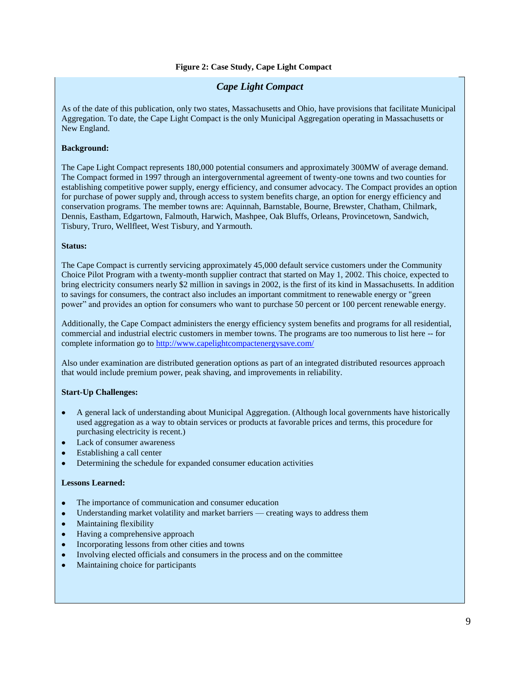### *Cape Light Compact*

As of the date of this publication, only two states, Massachusetts and Ohio, have provisions that facilitate Municipal Aggregation. To date, the Cape Light Compact is the only Municipal Aggregation operating in Massachusetts or New England.

### **Background:**

The Cape Light Compact represents 180,000 potential consumers and approximately 300MW of average demand. The Compact formed in 1997 through an intergovernmental agreement of twenty-one towns and two counties for establishing competitive power supply, energy efficiency, and consumer advocacy. The Compact provides an option for purchase of power supply and, through access to system benefits charge, an option for energy efficiency and conservation programs. The member towns are: Aquinnah, Barnstable, Bourne, Brewster, Chatham, Chilmark, Dennis, Eastham, Edgartown, Falmouth, Harwich, Mashpee, Oak Bluffs, Orleans, Provincetown, Sandwich, Tisbury, Truro, Wellfleet, West Tisbury, and Yarmouth.

#### **Status:**

The Cape Compact is currently servicing approximately 45,000 default service customers under the Community Choice Pilot Program with a twenty-month supplier contract that started on May 1, 2002. This choice, expected to bring electricity consumers nearly \$2 million in savings in 2002, is the first of its kind in Massachusetts. In addition to savings for consumers, the contract also includes an important commitment to renewable energy or "green power" and provides an option for consumers who want to purchase 50 percent or 100 percent renewable energy.

Additionally, the Cape Compact administers the energy efficiency system benefits and programs for all residential, commercial and industrial electric customers in member towns. The programs are too numerous to list here -- for complete information go to<http://www.capelightcompactenergysave.com/>

Also under examination are distributed generation options as part of an integrated distributed resources approach that would include premium power, peak shaving, and improvements in reliability.

### **Start-Up Challenges:**

- A general lack of understanding about Municipal Aggregation. (Although local governments have historically used aggregation as a way to obtain services or products at favorable prices and terms, this procedure for purchasing electricity is recent.)
- Lack of consumer awareness
- Establishing a call center
- Determining the schedule for expanded consumer education activities  $\bullet$

#### **Lessons Learned:**

- The importance of communication and consumer education
- Understanding market volatility and market barriers creating ways to address them
- Maintaining flexibility
- Having a comprehensive approach
- Incorporating lessons from other cities and towns
- Involving elected officials and consumers in the process and on the committee
- Maintaining choice for participants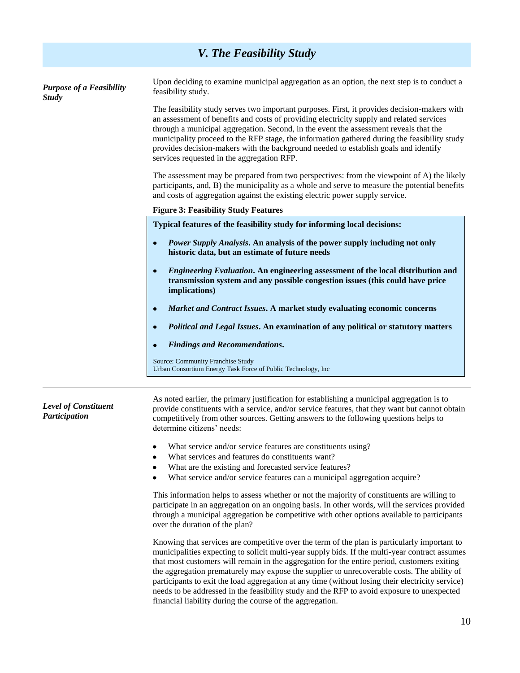|                                                 | V. The Feasibility Study                                                                                                                                                                                                                                                                                                                                                                                                                                                                                               |
|-------------------------------------------------|------------------------------------------------------------------------------------------------------------------------------------------------------------------------------------------------------------------------------------------------------------------------------------------------------------------------------------------------------------------------------------------------------------------------------------------------------------------------------------------------------------------------|
| <b>Purpose of a Feasibility</b><br><b>Study</b> | Upon deciding to examine municipal aggregation as an option, the next step is to conduct a<br>feasibility study.                                                                                                                                                                                                                                                                                                                                                                                                       |
|                                                 | The feasibility study serves two important purposes. First, it provides decision-makers with<br>an assessment of benefits and costs of providing electricity supply and related services<br>through a municipal aggregation. Second, in the event the assessment reveals that the<br>municipality proceed to the RFP stage, the information gathered during the feasibility study<br>provides decision-makers with the background needed to establish goals and identify<br>services requested in the aggregation RFP. |
|                                                 | The assessment may be prepared from two perspectives: from the viewpoint of A) the likely<br>participants, and, B) the municipality as a whole and serve to measure the potential benefits<br>and costs of aggregation against the existing electric power supply service.                                                                                                                                                                                                                                             |
|                                                 | <b>Figure 3: Feasibility Study Features</b>                                                                                                                                                                                                                                                                                                                                                                                                                                                                            |
|                                                 | Typical features of the feasibility study for informing local decisions:                                                                                                                                                                                                                                                                                                                                                                                                                                               |
|                                                 | Power Supply Analysis. An analysis of the power supply including not only<br>$\bullet$<br>historic data, but an estimate of future needs                                                                                                                                                                                                                                                                                                                                                                               |
|                                                 | Engineering Evaluation. An engineering assessment of the local distribution and<br>$\bullet$<br>transmission system and any possible congestion issues (this could have price<br><i>implications)</i>                                                                                                                                                                                                                                                                                                                  |
|                                                 | Market and Contract Issues. A market study evaluating economic concerns                                                                                                                                                                                                                                                                                                                                                                                                                                                |
|                                                 | Political and Legal Issues. An examination of any political or statutory matters                                                                                                                                                                                                                                                                                                                                                                                                                                       |
|                                                 | <b>Findings and Recommendations.</b>                                                                                                                                                                                                                                                                                                                                                                                                                                                                                   |
|                                                 | Source: Community Franchise Study<br>Urban Consortium Energy Task Force of Public Technology, Inc                                                                                                                                                                                                                                                                                                                                                                                                                      |
| <b>Level of Constituent</b><br>Participation    | As noted earlier, the primary justification for establishing a municipal aggregation is to<br>provide constituents with a service, and/or service features, that they want but cannot obtain<br>competitively from other sources. Getting answers to the following questions helps to<br>determine citizens' needs:                                                                                                                                                                                                    |

- What service and/or service features are constituents using?
- What services and features do constituents want?
- What are the existing and forecasted service features?
- What service and/or service features can a municipal aggregation acquire?

This information helps to assess whether or not the majority of constituents are willing to participate in an aggregation on an ongoing basis. In other words, will the services provided through a municipal aggregation be competitive with other options available to participants over the duration of the plan?

Knowing that services are competitive over the term of the plan is particularly important to municipalities expecting to solicit multi-year supply bids. If the multi-year contract assumes that most customers will remain in the aggregation for the entire period, customers exiting the aggregation prematurely may expose the supplier to unrecoverable costs. The ability of participants to exit the load aggregation at any time (without losing their electricity service) needs to be addressed in the feasibility study and the RFP to avoid exposure to unexpected financial liability during the course of the aggregation.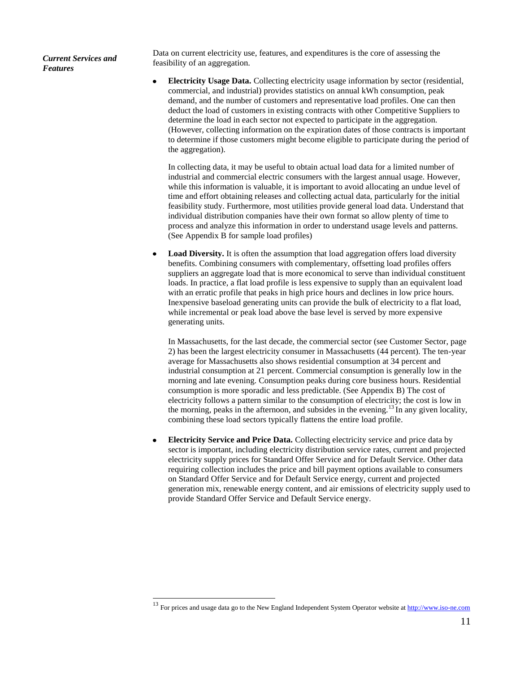*Current Services and Features* 

Data on current electricity use, features, and expenditures is the core of assessing the feasibility of an aggregation.

 $\bullet$ **Electricity Usage Data.** Collecting electricity usage information by sector (residential, commercial, and industrial) provides statistics on annual kWh consumption, peak demand, and the number of customers and representative load profiles. One can then deduct the load of customers in existing contracts with other Competitive Suppliers to determine the load in each sector not expected to participate in the aggregation. (However, collecting information on the expiration dates of those contracts is important to determine if those customers might become eligible to participate during the period of the aggregation).

In collecting data, it may be useful to obtain actual load data for a limited number of industrial and commercial electric consumers with the largest annual usage. However, while this information is valuable, it is important to avoid allocating an undue level of time and effort obtaining releases and collecting actual data, particularly for the initial feasibility study. Furthermore, most utilities provide general load data. Understand that individual distribution companies have their own format so allow plenty of time to process and analyze this information in order to understand usage levels and patterns. (See Appendix B for sample load profiles)

**Load Diversity.** It is often the assumption that load aggregation offers load diversity benefits. Combining consumers with complementary, offsetting load profiles offers suppliers an aggregate load that is more economical to serve than individual constituent loads. In practice, a flat load profile is less expensive to supply than an equivalent load with an erratic profile that peaks in high price hours and declines in low price hours. Inexpensive baseload generating units can provide the bulk of electricity to a flat load, while incremental or peak load above the base level is served by more expensive generating units.

In Massachusetts, for the last decade, the commercial sector (see Customer Sector, page 2) has been the largest electricity consumer in Massachusetts (44 percent). The ten-year average for Massachusetts also shows residential consumption at 34 percent and industrial consumption at 21 percent. Commercial consumption is generally low in the morning and late evening. Consumption peaks during core business hours. Residential consumption is more sporadic and less predictable. (See Appendix B) The cost of electricity follows a pattern similar to the consumption of electricity; the cost is low in the morning, peaks in the afternoon, and subsides in the evening.<sup>13</sup> In any given locality, combining these load sectors typically flattens the entire load profile.

**Electricity Service and Price Data.** Collecting electricity service and price data by sector is important, including electricity distribution service rates, current and projected electricity supply prices for Standard Offer Service and for Default Service. Other data requiring collection includes the price and bill payment options available to consumers on Standard Offer Service and for Default Service energy, current and projected generation mix, renewable energy content, and air emissions of electricity supply used to provide Standard Offer Service and Default Service energy.

 $\overline{\phantom{a}}$ 

<sup>&</sup>lt;sup>13</sup> For prices and usage data go to the New England Independent System Operator website at [http://www.iso-ne.com](http://www.iso-ne.com/)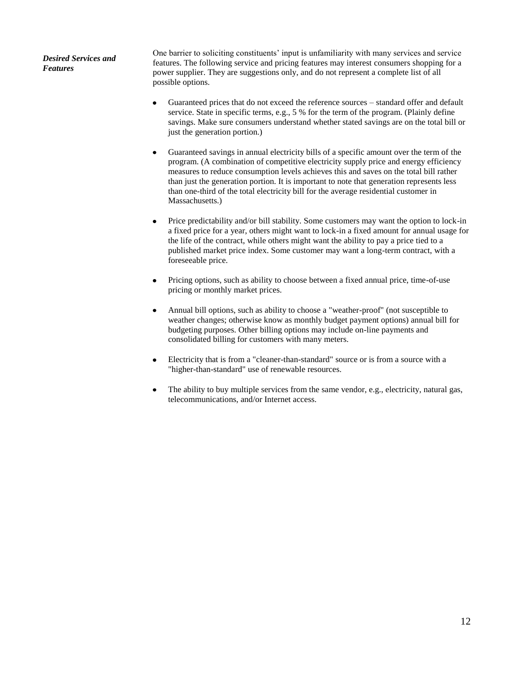*Desired Services and Features*

One barrier to soliciting constituents' input is unfamiliarity with many services and service features. The following service and pricing features may interest consumers shopping for a power supplier. They are suggestions only, and do not represent a complete list of all possible options.

- Guaranteed prices that do not exceed the reference sources standard offer and default service. State in specific terms, e.g., 5 % for the term of the program. (Plainly define savings. Make sure consumers understand whether stated savings are on the total bill or just the generation portion.)
- Guaranteed savings in annual electricity bills of a specific amount over the term of the program. (A combination of competitive electricity supply price and energy efficiency measures to reduce consumption levels achieves this and saves on the total bill rather than just the generation portion. It is important to note that generation represents less than one-third of the total electricity bill for the average residential customer in Massachusetts.)
- Price predictability and/or bill stability. Some customers may want the option to lock-in  $\bullet$ a fixed price for a year, others might want to lock-in a fixed amount for annual usage for the life of the contract, while others might want the ability to pay a price tied to a published market price index. Some customer may want a long-term contract, with a foreseeable price.
- Pricing options, such as ability to choose between a fixed annual price, time-of-use pricing or monthly market prices.
- Annual bill options, such as ability to choose a "weather-proof" (not susceptible to weather changes; otherwise know as monthly budget payment options) annual bill for budgeting purposes. Other billing options may include on-line payments and consolidated billing for customers with many meters.
- Electricity that is from a "cleaner-than-standard" source or is from a source with a "higher-than-standard" use of renewable resources.
- The ability to buy multiple services from the same vendor, e.g., electricity, natural gas, telecommunications, and/or Internet access.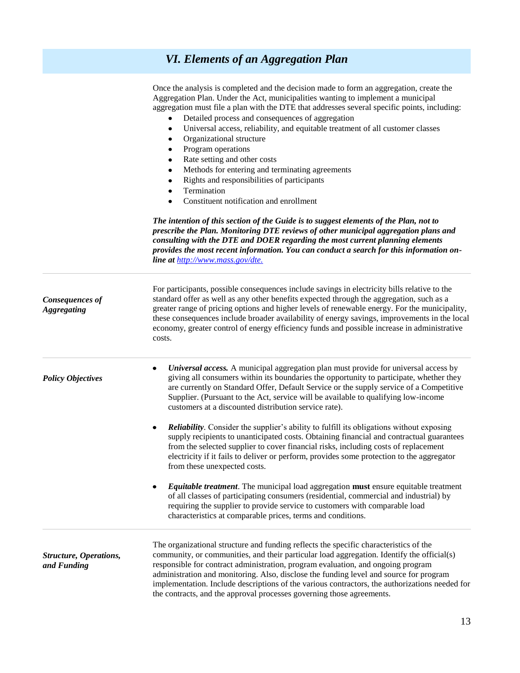## *VI. Elements of an Aggregation Plan*

|                                              | Once the analysis is completed and the decision made to form an aggregation, create the<br>Aggregation Plan. Under the Act, municipalities wanting to implement a municipal<br>aggregation must file a plan with the DTE that addresses several specific points, including:<br>Detailed process and consequences of aggregation<br>Universal access, reliability, and equitable treatment of all customer classes<br>٠<br>Organizational structure<br>٠<br>Program operations<br>٠<br>Rate setting and other costs<br>$\bullet$<br>Methods for entering and terminating agreements<br>$\bullet$<br>Rights and responsibilities of participants<br>$\bullet$<br>Termination<br>$\bullet$<br>Constituent notification and enrollment<br>$\bullet$ |
|----------------------------------------------|-------------------------------------------------------------------------------------------------------------------------------------------------------------------------------------------------------------------------------------------------------------------------------------------------------------------------------------------------------------------------------------------------------------------------------------------------------------------------------------------------------------------------------------------------------------------------------------------------------------------------------------------------------------------------------------------------------------------------------------------------|
|                                              | The intention of this section of the Guide is to suggest elements of the Plan, not to<br>prescribe the Plan. Monitoring DTE reviews of other municipal aggregation plans and<br>consulting with the DTE and DOER regarding the most current planning elements<br>provides the most recent information. You can conduct a search for this information on-<br>line at http://www.mass.gov/dte.                                                                                                                                                                                                                                                                                                                                                    |
| <b>Consequences of</b><br><b>Aggregating</b> | For participants, possible consequences include savings in electricity bills relative to the<br>standard offer as well as any other benefits expected through the aggregation, such as a<br>greater range of pricing options and higher levels of renewable energy. For the municipality,<br>these consequences include broader availability of energy savings, improvements in the local<br>economy, greater control of energy efficiency funds and possible increase in administrative<br>costs.                                                                                                                                                                                                                                              |
| <b>Policy Objectives</b>                     | Universal access. A municipal aggregation plan must provide for universal access by<br>٠<br>giving all consumers within its boundaries the opportunity to participate, whether they<br>are currently on Standard Offer, Default Service or the supply service of a Competitive<br>Supplier. (Pursuant to the Act, service will be available to qualifying low-income<br>customers at a discounted distribution service rate).                                                                                                                                                                                                                                                                                                                   |
|                                              | <b>Reliability.</b> Consider the supplier's ability to fulfill its obligations without exposing<br>$\bullet$<br>supply recipients to unanticipated costs. Obtaining financial and contractual guarantees<br>from the selected supplier to cover financial risks, including costs of replacement<br>electricity if it fails to deliver or perform, provides some protection to the aggregator<br>from these unexpected costs.                                                                                                                                                                                                                                                                                                                    |
|                                              | <b>Equitable treatment</b> . The municipal load aggregation <b>must</b> ensure equitable treatment<br>٠<br>of all classes of participating consumers (residential, commercial and industrial) by<br>requiring the supplier to provide service to customers with comparable load<br>characteristics at comparable prices, terms and conditions.                                                                                                                                                                                                                                                                                                                                                                                                  |
| Structure, Operations,<br>and Funding        | The organizational structure and funding reflects the specific characteristics of the<br>community, or communities, and their particular load aggregation. Identify the official(s)<br>responsible for contract administration, program evaluation, and ongoing program<br>administration and monitoring. Also, disclose the funding level and source for program<br>implementation. Include descriptions of the various contractors, the authorizations needed for<br>the contracts, and the approval processes governing those agreements.                                                                                                                                                                                                    |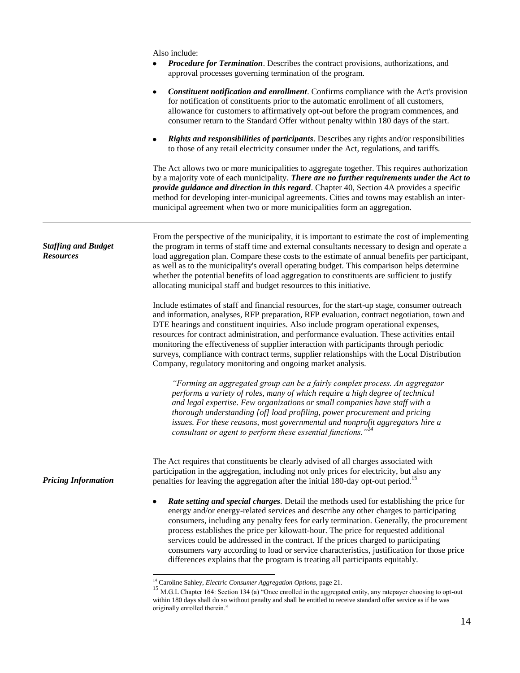|                                                | Also include:<br>Procedure for Termination. Describes the contract provisions, authorizations, and                                                                                                                                                                                                                                                                                                                                                                                                                                                                                                                                               |
|------------------------------------------------|--------------------------------------------------------------------------------------------------------------------------------------------------------------------------------------------------------------------------------------------------------------------------------------------------------------------------------------------------------------------------------------------------------------------------------------------------------------------------------------------------------------------------------------------------------------------------------------------------------------------------------------------------|
|                                                | approval processes governing termination of the program.                                                                                                                                                                                                                                                                                                                                                                                                                                                                                                                                                                                         |
|                                                | <b>Constituent notification and enrollment.</b> Confirms compliance with the Act's provision<br>٠<br>for notification of constituents prior to the automatic enrollment of all customers,<br>allowance for customers to affirmatively opt-out before the program commences, and<br>consumer return to the Standard Offer without penalty within 180 days of the start.                                                                                                                                                                                                                                                                           |
|                                                | Rights and responsibilities of participants. Describes any rights and/or responsibilities<br>٠<br>to those of any retail electricity consumer under the Act, regulations, and tariffs.                                                                                                                                                                                                                                                                                                                                                                                                                                                           |
|                                                | The Act allows two or more municipalities to aggregate together. This requires authorization<br>by a majority vote of each municipality. There are no further requirements under the Act to<br>provide guidance and direction in this regard. Chapter 40, Section 4A provides a specific<br>method for developing inter-municipal agreements. Cities and towns may establish an inter-<br>municipal agreement when two or more municipalities form an aggregation.                                                                                                                                                                               |
| <b>Staffing and Budget</b><br><b>Resources</b> | From the perspective of the municipality, it is important to estimate the cost of implementing<br>the program in terms of staff time and external consultants necessary to design and operate a<br>load aggregation plan. Compare these costs to the estimate of annual benefits per participant,<br>as well as to the municipality's overall operating budget. This comparison helps determine<br>whether the potential benefits of load aggregation to constituents are sufficient to justify<br>allocating municipal staff and budget resources to this initiative.                                                                           |
|                                                | Include estimates of staff and financial resources, for the start-up stage, consumer outreach<br>and information, analyses, RFP preparation, RFP evaluation, contract negotiation, town and<br>DTE hearings and constituent inquiries. Also include program operational expenses,<br>resources for contract administration, and performance evaluation. These activities entail<br>monitoring the effectiveness of supplier interaction with participants through periodic<br>surveys, compliance with contract terms, supplier relationships with the Local Distribution<br>Company, regulatory monitoring and ongoing market analysis.         |
|                                                | "Forming an aggregated group can be a fairly complex process. An aggregator<br>performs a variety of roles, many of which require a high degree of technical<br>and legal expertise. Few organizations or small companies have staff with a<br>thorough understanding [of] load profiling, power procurement and pricing<br>issues. For these reasons, most governmental and nonprofit aggregators hire a<br>consultant or agent to perform these essential functions." <sup>14</sup>                                                                                                                                                            |
| <b>Pricing Information</b>                     | The Act requires that constituents be clearly advised of all charges associated with<br>participation in the aggregation, including not only prices for electricity, but also any<br>penalties for leaving the aggregation after the initial 180-day opt-out period. <sup>15</sup>                                                                                                                                                                                                                                                                                                                                                               |
|                                                | <b>Rate setting and special charges.</b> Detail the methods used for establishing the price for<br>energy and/or energy-related services and describe any other charges to participating<br>consumers, including any penalty fees for early termination. Generally, the procurement<br>process establishes the price per kilowatt-hour. The price for requested additional<br>services could be addressed in the contract. If the prices charged to participating<br>consumers vary according to load or service characteristics, justification for those price<br>differences explains that the program is treating all participants equitably. |
|                                                | <sup>14</sup> Caroline Sahley, <i>Electric Consumer Aggregation Options</i> , page 21.                                                                                                                                                                                                                                                                                                                                                                                                                                                                                                                                                           |

<sup>&</sup>lt;sup>15</sup> M.G.L Chapter 164: Section 134 (a) "Once enrolled in the aggregated entity, any ratepayer choosing to opt-out within 180 days shall do so without penalty and shall be entitled to receive standard offer service as if he was originally enrolled therein."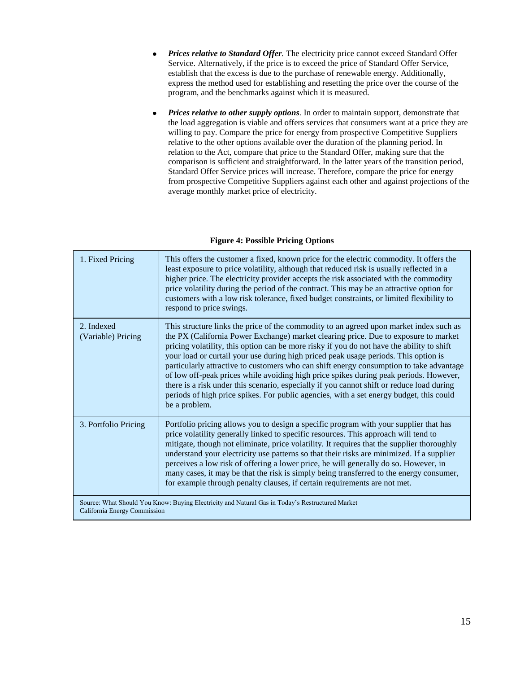- *Prices relative to Standard Offer.* The electricity price cannot exceed Standard Offer  $\bullet$ Service. Alternatively, if the price is to exceed the price of Standard Offer Service, establish that the excess is due to the purchase of renewable energy. Additionally, express the method used for establishing and resetting the price over the course of the program, and the benchmarks against which it is measured.
- *Prices relative to other supply options.* In order to maintain support, demonstrate that the load aggregation is viable and offers services that consumers want at a price they are willing to pay. Compare the price for energy from prospective Competitive Suppliers relative to the other options available over the duration of the planning period. In relation to the Act, compare that price to the Standard Offer, making sure that the comparison is sufficient and straightforward. In the latter years of the transition period, Standard Offer Service prices will increase. Therefore, compare the price for energy from prospective Competitive Suppliers against each other and against projections of the average monthly market price of electricity.

| 1. Fixed Pricing                 | This offers the customer a fixed, known price for the electric commodity. It offers the<br>least exposure to price volatility, although that reduced risk is usually reflected in a<br>higher price. The electricity provider accepts the risk associated with the commodity<br>price volatility during the period of the contract. This may be an attractive option for<br>customers with a low risk tolerance, fixed budget constraints, or limited flexibility to<br>respond to price swings.                                                                                                                                                                                                                                                               |
|----------------------------------|----------------------------------------------------------------------------------------------------------------------------------------------------------------------------------------------------------------------------------------------------------------------------------------------------------------------------------------------------------------------------------------------------------------------------------------------------------------------------------------------------------------------------------------------------------------------------------------------------------------------------------------------------------------------------------------------------------------------------------------------------------------|
| 2. Indexed<br>(Variable) Pricing | This structure links the price of the commodity to an agreed upon market index such as<br>the PX (California Power Exchange) market clearing price. Due to exposure to market<br>pricing volatility, this option can be more risky if you do not have the ability to shift<br>your load or curtail your use during high priced peak usage periods. This option is<br>particularly attractive to customers who can shift energy consumption to take advantage<br>of low off-peak prices while avoiding high price spikes during peak periods. However,<br>there is a risk under this scenario, especially if you cannot shift or reduce load during<br>periods of high price spikes. For public agencies, with a set energy budget, this could<br>be a problem. |
| 3. Portfolio Pricing             | Portfolio pricing allows you to design a specific program with your supplier that has<br>price volatility generally linked to specific resources. This approach will tend to<br>mitigate, though not eliminate, price volatility. It requires that the supplier thoroughly<br>understand your electricity use patterns so that their risks are minimized. If a supplier<br>perceives a low risk of offering a lower price, he will generally do so. However, in<br>many cases, it may be that the risk is simply being transferred to the energy consumer,<br>for example through penalty clauses, if certain requirements are not met.                                                                                                                        |
| California Energy Commission     | Source: What Should You Know: Buying Electricity and Natural Gas in Today's Restructured Market                                                                                                                                                                                                                                                                                                                                                                                                                                                                                                                                                                                                                                                                |

### **Figure 4: Possible Pricing Options**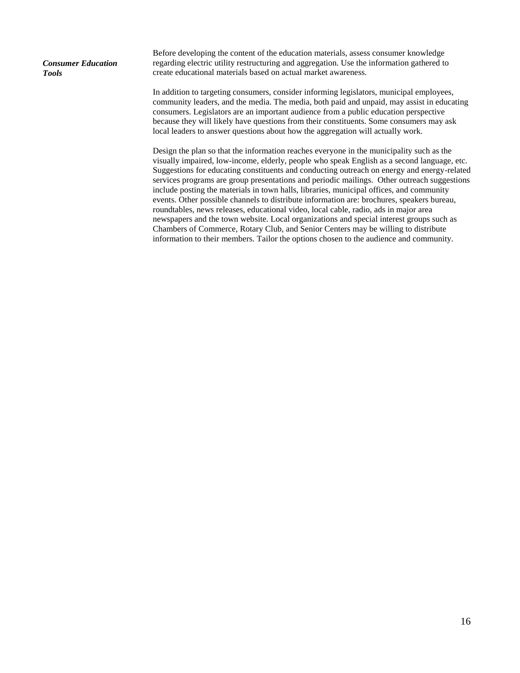*Consumer Education Tools*

Before developing the content of the education materials, assess consumer knowledge regarding electric utility restructuring and aggregation. Use the information gathered to create educational materials based on actual market awareness.

In addition to targeting consumers, consider informing legislators, municipal employees, community leaders, and the media. The media, both paid and unpaid, may assist in educating consumers. Legislators are an important audience from a public education perspective because they will likely have questions from their constituents. Some consumers may ask local leaders to answer questions about how the aggregation will actually work.

Design the plan so that the information reaches everyone in the municipality such as the visually impaired, low-income, elderly, people who speak English as a second language, etc. Suggestions for educating constituents and conducting outreach on energy and energy-related services programs are group presentations and periodic mailings. Other outreach suggestions include posting the materials in town halls, libraries, municipal offices, and community events. Other possible channels to distribute information are: brochures, speakers bureau, roundtables, news releases, educational video, local cable, radio, ads in major area newspapers and the town website. Local organizations and special interest groups such as Chambers of Commerce, Rotary Club, and Senior Centers may be willing to distribute information to their members. Tailor the options chosen to the audience and community.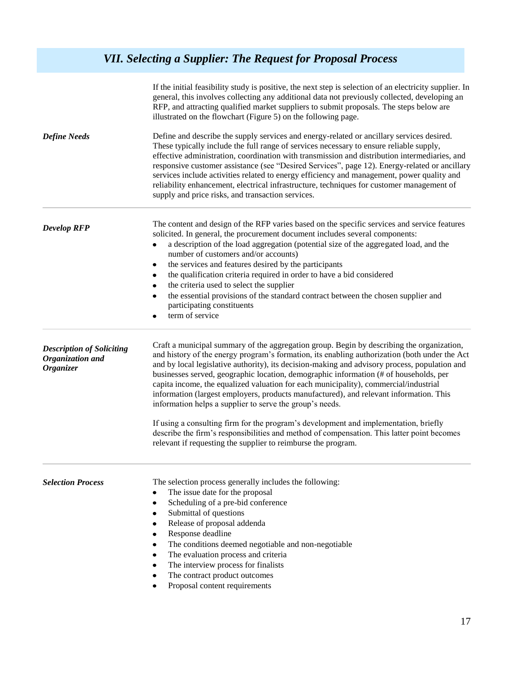## *VII. Selecting a Supplier: The Request for Proposal Process*

|                                                                          | If the initial feasibility study is positive, the next step is selection of an electricity supplier. In<br>general, this involves collecting any additional data not previously collected, developing an<br>RFP, and attracting qualified market suppliers to submit proposals. The steps below are<br>illustrated on the flowchart (Figure 5) on the following page.                                                                                                                                                                                                                                                                                                                                                                                                                                                                                                                     |
|--------------------------------------------------------------------------|-------------------------------------------------------------------------------------------------------------------------------------------------------------------------------------------------------------------------------------------------------------------------------------------------------------------------------------------------------------------------------------------------------------------------------------------------------------------------------------------------------------------------------------------------------------------------------------------------------------------------------------------------------------------------------------------------------------------------------------------------------------------------------------------------------------------------------------------------------------------------------------------|
| <b>Define Needs</b>                                                      | Define and describe the supply services and energy-related or ancillary services desired.<br>These typically include the full range of services necessary to ensure reliable supply,<br>effective administration, coordination with transmission and distribution intermediaries, and<br>responsive customer assistance (see "Desired Services", page 12). Energy-related or ancillary<br>services include activities related to energy efficiency and management, power quality and<br>reliability enhancement, electrical infrastructure, techniques for customer management of<br>supply and price risks, and transaction services.                                                                                                                                                                                                                                                    |
| <b>Develop RFP</b>                                                       | The content and design of the RFP varies based on the specific services and service features<br>solicited. In general, the procurement document includes several components:<br>a description of the load aggregation (potential size of the aggregated load, and the<br>number of customers and/or accounts)<br>the services and features desired by the participants<br>$\bullet$<br>the qualification criteria required in order to have a bid considered<br>٠<br>the criteria used to select the supplier<br>$\bullet$<br>the essential provisions of the standard contract between the chosen supplier and<br>٠<br>participating constituents<br>term of service                                                                                                                                                                                                                     |
| <b>Description of Soliciting</b><br>Organization and<br><b>Organizer</b> | Craft a municipal summary of the aggregation group. Begin by describing the organization,<br>and history of the energy program's formation, its enabling authorization (both under the Act<br>and by local legislative authority), its decision-making and advisory process, population and<br>businesses served, geographic location, demographic information (# of households, per<br>capita income, the equalized valuation for each municipality), commercial/industrial<br>information (largest employers, products manufactured), and relevant information. This<br>information helps a supplier to serve the group's needs.<br>If using a consulting firm for the program's development and implementation, briefly<br>describe the firm's responsibilities and method of compensation. This latter point becomes<br>relevant if requesting the supplier to reimburse the program. |
| <b>Selection Process</b>                                                 | The selection process generally includes the following:<br>The issue date for the proposal<br>٠<br>Scheduling of a pre-bid conference<br>٠<br>Submittal of questions<br>٠<br>Release of proposal addenda<br>٠<br>Response deadline<br>The conditions deemed negotiable and non-negotiable<br>٠<br>The evaluation process and criteria<br>٠<br>The interview process for finalists<br>٠<br>The contract product outcomes<br>٠<br>Proposal content requirements                                                                                                                                                                                                                                                                                                                                                                                                                             |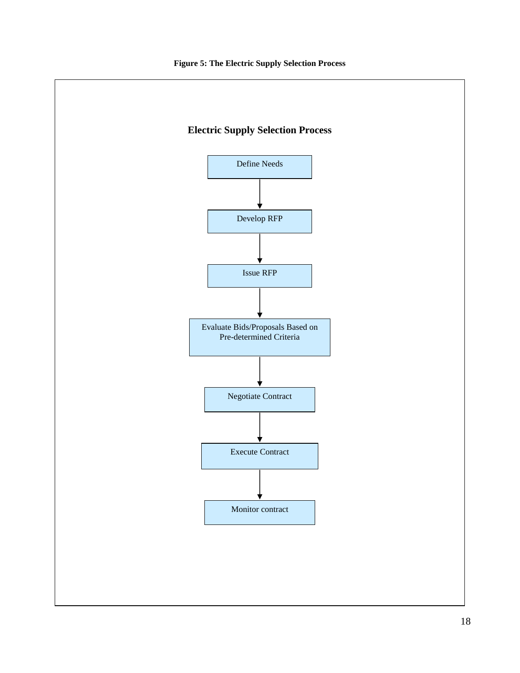

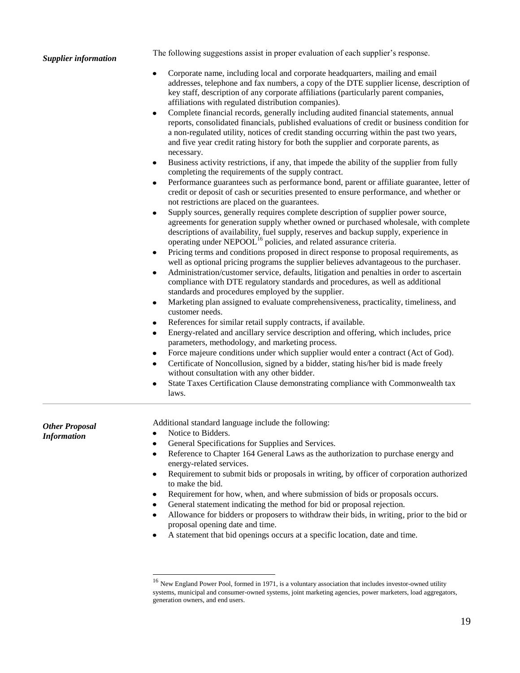#### *Supplier information*

The following suggestions assist in proper evaluation of each supplier's response.

- Corporate name, including local and corporate headquarters, mailing and email addresses, telephone and fax numbers, a copy of the DTE supplier license, description of key staff, description of any corporate affiliations (particularly parent companies, affiliations with regulated distribution companies).
- Complete financial records, generally including audited financial statements, annual reports, consolidated financials, published evaluations of credit or business condition for a non-regulated utility, notices of credit standing occurring within the past two years, and five year credit rating history for both the supplier and corporate parents, as necessary.
- Business activity restrictions, if any, that impede the ability of the supplier from fully completing the requirements of the supply contract.
- Performance guarantees such as performance bond, parent or affiliate guarantee, letter of credit or deposit of cash or securities presented to ensure performance, and whether or not restrictions are placed on the guarantees.
- Supply sources, generally requires complete description of supplier power source, agreements for generation supply whether owned or purchased wholesale, with complete descriptions of availability, fuel supply, reserves and backup supply, experience in operating under NEPOOL<sup>16</sup> policies, and related assurance criteria.
- Pricing terms and conditions proposed in direct response to proposal requirements, as well as optional pricing programs the supplier believes advantageous to the purchaser.
- Administration/customer service, defaults, litigation and penalties in order to ascertain compliance with DTE regulatory standards and procedures, as well as additional standards and procedures employed by the supplier.
- Marketing plan assigned to evaluate comprehensiveness, practicality, timeliness, and customer needs.
- References for similar retail supply contracts, if available.
- Energy-related and ancillary service description and offering, which includes, price parameters, methodology, and marketing process.
- Force majeure conditions under which supplier would enter a contract (Act of God).
- Certificate of Noncollusion, signed by a bidder, stating his/her bid is made freely without consultation with any other bidder.
- State Taxes Certification Clause demonstrating compliance with Commonwealth tax laws.

*Other Proposal Information*

- Additional standard language include the following:
- Notice to Bidders.

 $\overline{\phantom{a}}$ 

- General Specifications for Supplies and Services.
- Reference to Chapter 164 General Laws as the authorization to purchase energy and energy-related services.
- Requirement to submit bids or proposals in writing, by officer of corporation authorized to make the bid.
- Requirement for how, when, and where submission of bids or proposals occurs.
- General statement indicating the method for bid or proposal rejection.
- Allowance for bidders or proposers to withdraw their bids, in writing, prior to the bid or proposal opening date and time.
- A statement that bid openings occurs at a specific location, date and time.

<sup>&</sup>lt;sup>16</sup> New England Power Pool, formed in 1971, is a voluntary association that includes investor-owned utility systems, municipal and consumer-owned systems, joint marketing agencies, power marketers, load aggregators, generation owners, and end users.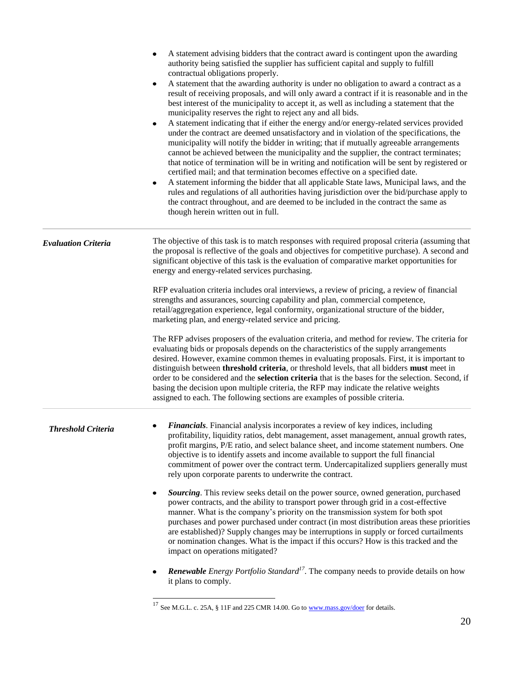|                            | A statement advising bidders that the contract award is contingent upon the awarding<br>٠<br>authority being satisfied the supplier has sufficient capital and supply to fulfill<br>contractual obligations properly.<br>A statement that the awarding authority is under no obligation to award a contract as a<br>٠<br>result of receiving proposals, and will only award a contract if it is reasonable and in the<br>best interest of the municipality to accept it, as well as including a statement that the<br>municipality reserves the right to reject any and all bids.<br>A statement indicating that if either the energy and/or energy-related services provided<br>٠<br>under the contract are deemed unsatisfactory and in violation of the specifications, the<br>municipality will notify the bidder in writing; that if mutually agreeable arrangements<br>cannot be achieved between the municipality and the supplier, the contract terminates;<br>that notice of termination will be in writing and notification will be sent by registered or<br>certified mail; and that termination becomes effective on a specified date.<br>A statement informing the bidder that all applicable State laws, Municipal laws, and the<br>$\bullet$<br>rules and regulations of all authorities having jurisdiction over the bid/purchase apply to<br>the contract throughout, and are deemed to be included in the contract the same as<br>though herein written out in full. |
|----------------------------|----------------------------------------------------------------------------------------------------------------------------------------------------------------------------------------------------------------------------------------------------------------------------------------------------------------------------------------------------------------------------------------------------------------------------------------------------------------------------------------------------------------------------------------------------------------------------------------------------------------------------------------------------------------------------------------------------------------------------------------------------------------------------------------------------------------------------------------------------------------------------------------------------------------------------------------------------------------------------------------------------------------------------------------------------------------------------------------------------------------------------------------------------------------------------------------------------------------------------------------------------------------------------------------------------------------------------------------------------------------------------------------------------------------------------------------------------------------------------------------|
| <b>Evaluation Criteria</b> | The objective of this task is to match responses with required proposal criteria (assuming that<br>the proposal is reflective of the goals and objectives for competitive purchase). A second and<br>significant objective of this task is the evaluation of comparative market opportunities for<br>energy and energy-related services purchasing.                                                                                                                                                                                                                                                                                                                                                                                                                                                                                                                                                                                                                                                                                                                                                                                                                                                                                                                                                                                                                                                                                                                                    |
|                            | RFP evaluation criteria includes oral interviews, a review of pricing, a review of financial<br>strengths and assurances, sourcing capability and plan, commercial competence,<br>retail/aggregation experience, legal conformity, organizational structure of the bidder,<br>marketing plan, and energy-related service and pricing.                                                                                                                                                                                                                                                                                                                                                                                                                                                                                                                                                                                                                                                                                                                                                                                                                                                                                                                                                                                                                                                                                                                                                  |
|                            | The RFP advises proposers of the evaluation criteria, and method for review. The criteria for<br>evaluating bids or proposals depends on the characteristics of the supply arrangements<br>desired. However, examine common themes in evaluating proposals. First, it is important to<br>distinguish between threshold criteria, or threshold levels, that all bidders must meet in<br>order to be considered and the <b>selection criteria</b> that is the bases for the selection. Second, if<br>basing the decision upon multiple criteria, the RFP may indicate the relative weights<br>assigned to each. The following sections are examples of possible criteria.                                                                                                                                                                                                                                                                                                                                                                                                                                                                                                                                                                                                                                                                                                                                                                                                                |
| <b>Threshold Criteria</b>  | <b>Financials.</b> Financial analysis incorporates a review of key indices, including<br>profitability, liquidity ratios, debt management, asset management, annual growth rates,<br>profit margins, P/E ratio, and select balance sheet, and income statement numbers. One<br>objective is to identify assets and income available to support the full financial<br>commitment of power over the contract term. Undercapitalized suppliers generally must<br>rely upon corporate parents to underwrite the contract.                                                                                                                                                                                                                                                                                                                                                                                                                                                                                                                                                                                                                                                                                                                                                                                                                                                                                                                                                                  |
|                            | Sourcing. This review seeks detail on the power source, owned generation, purchased<br>٠<br>power contracts, and the ability to transport power through grid in a cost-effective<br>manner. What is the company's priority on the transmission system for both spot<br>purchases and power purchased under contract (in most distribution areas these priorities<br>are established)? Supply changes may be interruptions in supply or forced curtailments<br>or nomination changes. What is the impact if this occurs? How is this tracked and the<br>impact on operations mitigated?                                                                                                                                                                                                                                                                                                                                                                                                                                                                                                                                                                                                                                                                                                                                                                                                                                                                                                 |
|                            | <b>Renewable</b> Energy Portfolio Standard <sup>17</sup> . The company needs to provide details on how<br>it plans to comply.                                                                                                                                                                                                                                                                                                                                                                                                                                                                                                                                                                                                                                                                                                                                                                                                                                                                                                                                                                                                                                                                                                                                                                                                                                                                                                                                                          |

<sup>&</sup>lt;sup>17</sup> See M.G.L. c. 25A, § 11F and 225 CMR 14.00. Go t[o www.mass.gov/doer](http://www.mass.gov/doer) for details.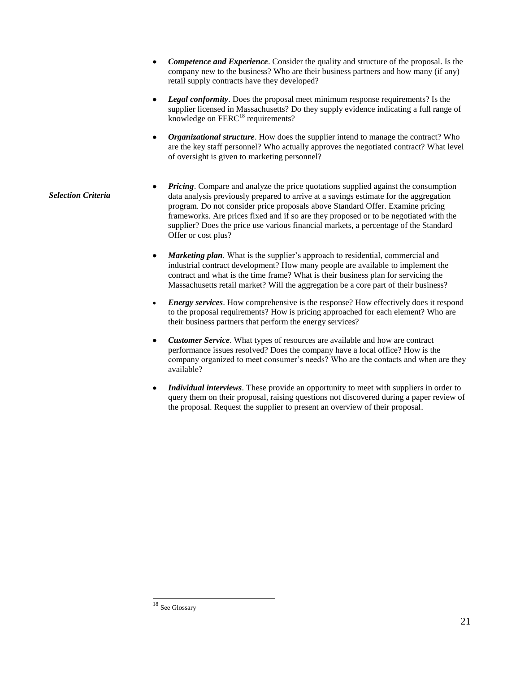- *Competence and Experience*. Consider the quality and structure of the proposal. Is the company new to the business? Who are their business partners and how many (if any) retail supply contracts have they developed?
- *Legal conformity*. Does the proposal meet minimum response requirements? Is the supplier licensed in Massachusetts? Do they supply evidence indicating a full range of knowledge on  $FERC<sup>18</sup>$  requirements?
- *Organizational structure*. How does the supplier intend to manage the contract? Who are the key staff personnel? Who actually approves the negotiated contract? What level of oversight is given to marketing personnel?
- *Pricing*. Compare and analyze the price quotations supplied against the consumption data analysis previously prepared to arrive at a savings estimate for the aggregation program. Do not consider price proposals above Standard Offer. Examine pricing frameworks. Are prices fixed and if so are they proposed or to be negotiated with the supplier? Does the price use various financial markets, a percentage of the Standard Offer or cost plus? *Selection Criteria*
	- *Marketing plan*. What is the supplier's approach to residential, commercial and industrial contract development? How many people are available to implement the contract and what is the time frame? What is their business plan for servicing the Massachusetts retail market? Will the aggregation be a core part of their business?
	- *Energy services*. How comprehensive is the response? How effectively does it respond to the proposal requirements? How is pricing approached for each element? Who are their business partners that perform the energy services?
	- *Customer Service*. What types of resources are available and how are contract  $\bullet$ performance issues resolved? Does the company have a local office? How is the company organized to meet consumer's needs? Who are the contacts and when are they available?
	- *Individual interviews*. These provide an opportunity to meet with suppliers in order to query them on their proposal, raising questions not discovered during a paper review of the proposal. Request the supplier to present an overview of their proposal.

 $\overline{\phantom{a}}$ 

<sup>&</sup>lt;sup>18</sup> See Glossary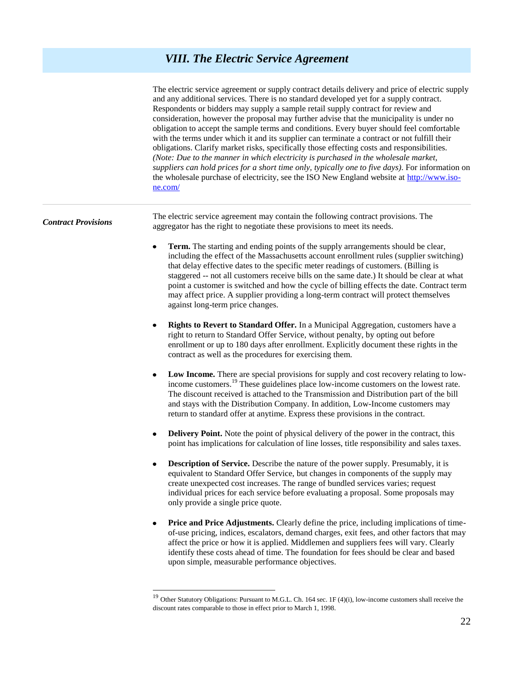## *VIII. The Electric Service Agreement*

|                            | The electric service agreement or supply contract details delivery and price of electric supply<br>and any additional services. There is no standard developed yet for a supply contract.<br>Respondents or bidders may supply a sample retail supply contract for review and<br>consideration, however the proposal may further advise that the municipality is under no<br>obligation to accept the sample terms and conditions. Every buyer should feel comfortable<br>with the terms under which it and its supplier can terminate a contract or not fulfill their<br>obligations. Clarify market risks, specifically those effecting costs and responsibilities.<br>(Note: Due to the manner in which electricity is purchased in the wholesale market,<br>suppliers can hold prices for a short time only, typically one to five days). For information on<br>the wholesale purchase of electricity, see the ISO New England website at http://www.iso-<br>ne.com/ |
|----------------------------|--------------------------------------------------------------------------------------------------------------------------------------------------------------------------------------------------------------------------------------------------------------------------------------------------------------------------------------------------------------------------------------------------------------------------------------------------------------------------------------------------------------------------------------------------------------------------------------------------------------------------------------------------------------------------------------------------------------------------------------------------------------------------------------------------------------------------------------------------------------------------------------------------------------------------------------------------------------------------|
| <b>Contract Provisions</b> | The electric service agreement may contain the following contract provisions. The<br>aggregator has the right to negotiate these provisions to meet its needs.                                                                                                                                                                                                                                                                                                                                                                                                                                                                                                                                                                                                                                                                                                                                                                                                           |
|                            | Term. The starting and ending points of the supply arrangements should be clear,<br>٠<br>including the effect of the Massachusetts account enrollment rules (supplier switching)<br>that delay effective dates to the specific meter readings of customers. (Billing is<br>staggered -- not all customers receive bills on the same date.) It should be clear at what<br>point a customer is switched and how the cycle of billing effects the date. Contract term<br>may affect price. A supplier providing a long-term contract will protect themselves<br>against long-term price changes.                                                                                                                                                                                                                                                                                                                                                                            |
|                            | <b>Rights to Revert to Standard Offer.</b> In a Municipal Aggregation, customers have a<br>٠<br>right to return to Standard Offer Service, without penalty, by opting out before<br>enrollment or up to 180 days after enrollment. Explicitly document these rights in the<br>contract as well as the procedures for exercising them.                                                                                                                                                                                                                                                                                                                                                                                                                                                                                                                                                                                                                                    |
|                            | Low Income. There are special provisions for supply and cost recovery relating to low-<br>$\bullet$<br>income customers. <sup>19</sup> These guidelines place low-income customers on the lowest rate.<br>The discount received is attached to the Transmission and Distribution part of the bill<br>and stays with the Distribution Company. In addition, Low-Income customers may<br>return to standard offer at anytime. Express these provisions in the contract.                                                                                                                                                                                                                                                                                                                                                                                                                                                                                                    |
|                            | <b>Delivery Point.</b> Note the point of physical delivery of the power in the contract, this<br>٠<br>point has implications for calculation of line losses, title responsibility and sales taxes.                                                                                                                                                                                                                                                                                                                                                                                                                                                                                                                                                                                                                                                                                                                                                                       |
|                            | Description of Service. Describe the nature of the power supply. Presumably, it is<br>equivalent to Standard Offer Service, but changes in components of the supply may<br>create unexpected cost increases. The range of bundled services varies; request<br>individual prices for each service before evaluating a proposal. Some proposals may<br>only provide a single price quote.                                                                                                                                                                                                                                                                                                                                                                                                                                                                                                                                                                                  |
|                            | <b>Price and Price Adjustments.</b> Clearly define the price, including implications of time-<br>٠<br>of-use pricing, indices, escalators, demand charges, exit fees, and other factors that may<br>affect the price or how it is applied. Middlemen and suppliers fees will vary. Clearly<br>identify these costs ahead of time. The foundation for fees should be clear and based<br>upon simple, measurable performance objectives.                                                                                                                                                                                                                                                                                                                                                                                                                                                                                                                                   |
|                            |                                                                                                                                                                                                                                                                                                                                                                                                                                                                                                                                                                                                                                                                                                                                                                                                                                                                                                                                                                          |

 $\overline{a}$ 

<sup>&</sup>lt;sup>19</sup> Other Statutory Obligations: Pursuant to M.G.L. Ch. 164 sec. 1F (4)(i), low-income customers shall receive the discount rates comparable to those in effect prior to March 1, 1998.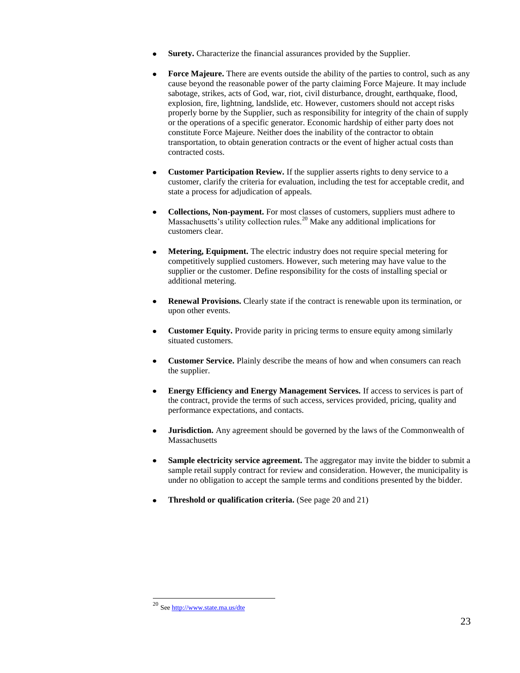- **Surety.** Characterize the financial assurances provided by the Supplier.
- **Force Majeure.** There are events outside the ability of the parties to control, such as any cause beyond the reasonable power of the party claiming Force Majeure. It may include sabotage, strikes, acts of God, war, riot, civil disturbance, drought, earthquake, flood, explosion, fire, lightning, landslide, etc. However, customers should not accept risks properly borne by the Supplier, such as responsibility for integrity of the chain of supply or the operations of a specific generator. Economic hardship of either party does not constitute Force Majeure. Neither does the inability of the contractor to obtain transportation, to obtain generation contracts or the event of higher actual costs than contracted costs.
- **Customer Participation Review.** If the supplier asserts rights to deny service to a customer, clarify the criteria for evaluation, including the test for acceptable credit, and state a process for adjudication of appeals.
- **Collections, Non-payment.** For most classes of customers, suppliers must adhere to Massachusetts's utility collection rules.<sup>20</sup> Make any additional implications for customers clear.
- **Metering, Equipment.** The electric industry does not require special metering for competitively supplied customers. However, such metering may have value to the supplier or the customer. Define responsibility for the costs of installing special or additional metering.
- **Renewal Provisions.** Clearly state if the contract is renewable upon its termination, or upon other events.
- **Customer Equity.** Provide parity in pricing terms to ensure equity among similarly situated customers.
- **Customer Service.** Plainly describe the means of how and when consumers can reach the supplier.
- **Energy Efficiency and Energy Management Services.** If access to services is part of the contract, provide the terms of such access, services provided, pricing, quality and performance expectations, and contacts.
- **Jurisdiction.** Any agreement should be governed by the laws of the Commonwealth of **Massachusetts**
- **Sample electricity service agreement.** The aggregator may invite the bidder to submit a sample retail supply contract for review and consideration. However, the municipality is under no obligation to accept the sample terms and conditions presented by the bidder.
- **Threshold or qualification criteria.** (See page 20 and 21)

 $\overline{\phantom{a}}$ 

<sup>20</sup> Se[e http://www.state.ma.us/dte](http://www.state.ma.us/dte)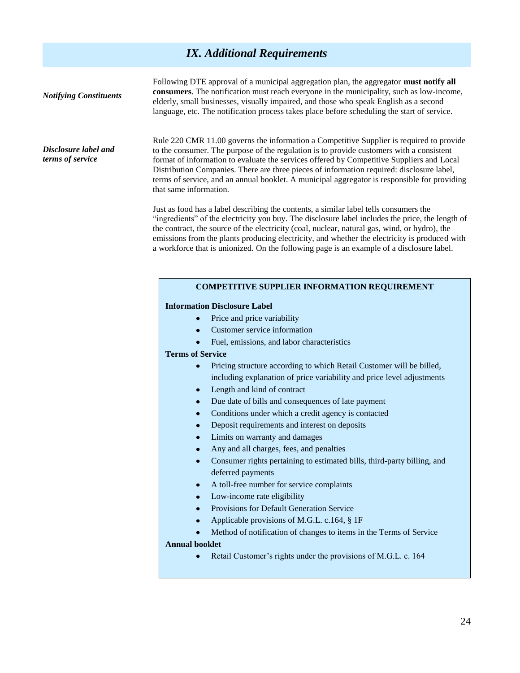## *IX. Additional Requirements*

| <b>Notifying Constituents</b>            | Following DTE approval of a municipal aggregation plan, the aggregator must notify all<br>consumers. The notification must reach everyone in the municipality, such as low-income,<br>elderly, small businesses, visually impaired, and those who speak English as a second<br>language, etc. The notification process takes place before scheduling the start of service.                                                                                                                               |  |  |  |  |
|------------------------------------------|----------------------------------------------------------------------------------------------------------------------------------------------------------------------------------------------------------------------------------------------------------------------------------------------------------------------------------------------------------------------------------------------------------------------------------------------------------------------------------------------------------|--|--|--|--|
| Disclosure label and<br>terms of service | Rule 220 CMR 11.00 governs the information a Competitive Supplier is required to provide<br>to the consumer. The purpose of the regulation is to provide customers with a consistent<br>format of information to evaluate the services offered by Competitive Suppliers and Local<br>Distribution Companies. There are three pieces of information required: disclosure label,<br>terms of service, and an annual booklet. A municipal aggregator is responsible for providing<br>that same information. |  |  |  |  |
|                                          | Just as food has a label describing the contents, a similar label tells consumers the<br>"ingredients" of the electricity you buy. The disclosure label includes the price, the length of<br>the contract, the source of the electricity (coal, nuclear, natural gas, wind, or hydro), the<br>emissions from the plants producing electricity, and whether the electricity is produced with<br>a workforce that is unionized. On the following page is an example of a disclosure label.                 |  |  |  |  |
|                                          | <b>COMPETITIVE SUPPLIER INFORMATION REQUIREMENT</b><br><b>Information Disclosure Label</b><br>Price and price variability<br>۰                                                                                                                                                                                                                                                                                                                                                                           |  |  |  |  |
|                                          | Customer service information<br>$\bullet$                                                                                                                                                                                                                                                                                                                                                                                                                                                                |  |  |  |  |
|                                          | Fuel, emissions, and labor characteristics<br>$\bullet$                                                                                                                                                                                                                                                                                                                                                                                                                                                  |  |  |  |  |
|                                          | <b>Terms of Service</b><br>Pricing structure according to which Retail Customer will be billed,<br>$\bullet$                                                                                                                                                                                                                                                                                                                                                                                             |  |  |  |  |
|                                          | including explanation of price variability and price level adjustments                                                                                                                                                                                                                                                                                                                                                                                                                                   |  |  |  |  |
|                                          | Length and kind of contract<br>۰                                                                                                                                                                                                                                                                                                                                                                                                                                                                         |  |  |  |  |
|                                          | Due date of bills and consequences of late payment<br>۰                                                                                                                                                                                                                                                                                                                                                                                                                                                  |  |  |  |  |
|                                          | Conditions under which a credit agency is contacted<br>$\bullet$                                                                                                                                                                                                                                                                                                                                                                                                                                         |  |  |  |  |
|                                          | Deposit requirements and interest on deposits<br>$\bullet$                                                                                                                                                                                                                                                                                                                                                                                                                                               |  |  |  |  |
|                                          | Limits on warranty and damages<br>۰                                                                                                                                                                                                                                                                                                                                                                                                                                                                      |  |  |  |  |
|                                          | Any and all charges, fees, and penalties<br>Consumer rights pertaining to estimated bills, third-party billing, and                                                                                                                                                                                                                                                                                                                                                                                      |  |  |  |  |
|                                          | deferred payments                                                                                                                                                                                                                                                                                                                                                                                                                                                                                        |  |  |  |  |
|                                          | A toll-free number for service complaints<br>$\bullet$                                                                                                                                                                                                                                                                                                                                                                                                                                                   |  |  |  |  |
|                                          | Low-income rate eligibility<br>$\bullet$                                                                                                                                                                                                                                                                                                                                                                                                                                                                 |  |  |  |  |
|                                          | Provisions for Default Generation Service<br>۰                                                                                                                                                                                                                                                                                                                                                                                                                                                           |  |  |  |  |
|                                          | Applicable provisions of M.G.L. c.164, § 1F<br>۰                                                                                                                                                                                                                                                                                                                                                                                                                                                         |  |  |  |  |
|                                          | Method of notification of changes to items in the Terms of Service                                                                                                                                                                                                                                                                                                                                                                                                                                       |  |  |  |  |
|                                          | <b>Annual booklet</b><br>Retail Customer's rights under the provisions of M.G.L. c. 164<br>$\bullet$                                                                                                                                                                                                                                                                                                                                                                                                     |  |  |  |  |
|                                          |                                                                                                                                                                                                                                                                                                                                                                                                                                                                                                          |  |  |  |  |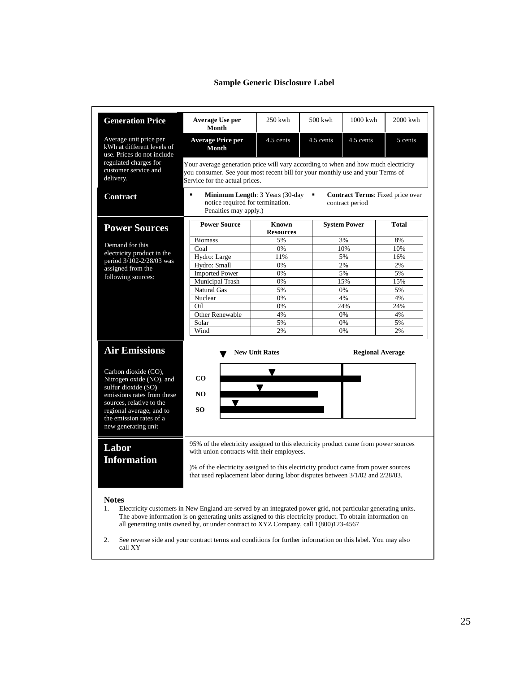## **Sample Generic Disclosure Label**

| <b>Generation Price</b>                                                            | Average Use per<br>Month                                                                                                                                                                                                                                                                                             | $250$ kwh        | $500$ kwh | $1000$ kwh          | $2000$ kwh |  |
|------------------------------------------------------------------------------------|----------------------------------------------------------------------------------------------------------------------------------------------------------------------------------------------------------------------------------------------------------------------------------------------------------------------|------------------|-----------|---------------------|------------|--|
| Average unit price per<br>kWh at different levels of<br>use. Prices do not include | <b>Average Price per</b><br>Month                                                                                                                                                                                                                                                                                    | 4.5 cents        | 4.5 cents | 4.5 cents           | 5 cents    |  |
| regulated charges for<br>customer service and<br>delivery.                         | Your average generation price will vary according to when and how much electricity<br>you consumer. See your most recent bill for your monthly use and your Terms of<br>Service for the actual prices.                                                                                                               |                  |           |                     |            |  |
| <b>Contract</b>                                                                    | $\blacksquare$<br><b>Minimum Length: 3 Years (30-day</b><br>Contract Terms: Fixed price over<br>٠<br>notice required for termination.<br>contract period<br>Penalties may apply.)                                                                                                                                    |                  |           |                     |            |  |
|                                                                                    | <b>Power Source</b>                                                                                                                                                                                                                                                                                                  | <b>Known</b>     |           | <b>System Power</b> | Total      |  |
| <b>Power Sources</b>                                                               |                                                                                                                                                                                                                                                                                                                      | <b>Resources</b> |           |                     |            |  |
|                                                                                    | <b>Biomass</b>                                                                                                                                                                                                                                                                                                       | 5%               |           | 3%                  | 8%         |  |
| Demand for this                                                                    | Coal                                                                                                                                                                                                                                                                                                                 | 0%               |           | 10%                 | 10%        |  |
| electricity product in the                                                         | Hydro: Large                                                                                                                                                                                                                                                                                                         | 11%              |           | 5%                  | 16%        |  |
| period 3/102-2/28/03 was                                                           | Hydro: Small                                                                                                                                                                                                                                                                                                         | 0%               |           | 2%                  | 2%         |  |
| assigned from the                                                                  | <b>Imported Power</b>                                                                                                                                                                                                                                                                                                | 0%               |           | 5%                  | 5%         |  |
| following sources:                                                                 | Municipal Trash                                                                                                                                                                                                                                                                                                      | 0%               |           | 15%                 | 15%        |  |
|                                                                                    | Natural Gas                                                                                                                                                                                                                                                                                                          | 5%               |           | 0%                  | 5%         |  |
|                                                                                    | Nuclear                                                                                                                                                                                                                                                                                                              | 0%               |           | 4%                  | 4%         |  |
|                                                                                    | Oil.                                                                                                                                                                                                                                                                                                                 | 0%               |           | 24%                 | 24%        |  |
|                                                                                    | <b>Other Renewable</b>                                                                                                                                                                                                                                                                                               | 4%               |           | 0%                  | 4%         |  |
|                                                                                    | Solar                                                                                                                                                                                                                                                                                                                | 5%               |           | 0%                  | 5%         |  |
|                                                                                    | Wind                                                                                                                                                                                                                                                                                                                 | 2%               |           | 0%                  | 2%         |  |
| <b>Air Emissions</b><br><b>New Unit Rates</b><br><b>Regional Average</b>           |                                                                                                                                                                                                                                                                                                                      |                  |           |                     |            |  |
| Carbon dioxide (CO),<br>Nitrogen oxide (NO), and<br>sulfur dioxide (SO)            | $\bf CO$                                                                                                                                                                                                                                                                                                             |                  |           |                     |            |  |
| emissions rates from these                                                         | N <sub>O</sub>                                                                                                                                                                                                                                                                                                       |                  |           |                     |            |  |
| sources, relative to the<br>regional average, and to<br>the emission rates of a    | $\blacktriangledown$<br>SO.                                                                                                                                                                                                                                                                                          |                  |           |                     |            |  |
| new generating unit                                                                |                                                                                                                                                                                                                                                                                                                      |                  |           |                     |            |  |
| Labor                                                                              | 95% of the electricity assigned to this electricity product came from power sources<br>with union contracts with their employees.                                                                                                                                                                                    |                  |           |                     |            |  |
| <b>Information</b>                                                                 | )% of the electricity assigned to this electricity product came from power sources<br>that used replacement labor during labor disputes between 3/1/02 and 2/28/03.                                                                                                                                                  |                  |           |                     |            |  |
| <b>Notes</b><br>1.                                                                 | Electricity customers in New England are served by an integrated power grid, not particular generating units.<br>The above information is on generating units assigned to this electricity product. To obtain information on<br>all generating units owned by, or under contract to XYZ Company, call 1(800)123-4567 |                  |           |                     |            |  |
| 2.<br>call XY                                                                      | See reverse side and your contract terms and conditions for further information on this label. You may also                                                                                                                                                                                                          |                  |           |                     |            |  |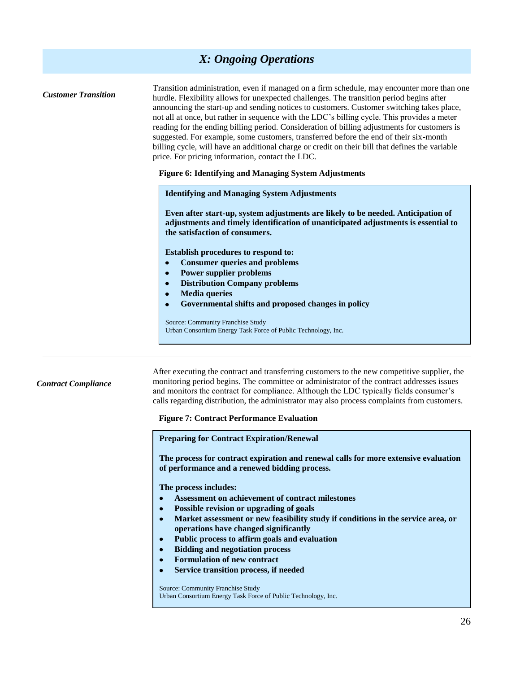## *X: Ongoing Operations*

| <b>Customer Transition</b> | Transition administration, even if managed on a firm schedule, may encounter more than one<br>hurdle. Flexibility allows for unexpected challenges. The transition period begins after<br>announcing the start-up and sending notices to customers. Customer switching takes place,<br>not all at once, but rather in sequence with the LDC's billing cycle. This provides a meter<br>reading for the ending billing period. Consideration of billing adjustments for customers is<br>suggested. For example, some customers, transferred before the end of their six-month<br>billing cycle, will have an additional charge or credit on their bill that defines the variable<br>price. For pricing information, contact the LDC.<br><b>Figure 6: Identifying and Managing System Adjustments</b> |
|----------------------------|----------------------------------------------------------------------------------------------------------------------------------------------------------------------------------------------------------------------------------------------------------------------------------------------------------------------------------------------------------------------------------------------------------------------------------------------------------------------------------------------------------------------------------------------------------------------------------------------------------------------------------------------------------------------------------------------------------------------------------------------------------------------------------------------------|
|                            | <b>Identifying and Managing System Adjustments</b><br>Even after start-up, system adjustments are likely to be needed. Anticipation of<br>adjustments and timely identification of unanticipated adjustments is essential to<br>the satisfaction of consumers.<br>Establish procedures to respond to:<br><b>Consumer queries and problems</b><br>$\bullet$<br><b>Power supplier problems</b><br>$\bullet$<br><b>Distribution Company problems</b><br>$\bullet$<br><b>Media</b> queries<br>$\bullet$<br>Governmental shifts and proposed changes in policy<br>$\bullet$<br>Source: Community Franchise Study<br>Urban Consortium Energy Task Force of Public Technology, Inc.                                                                                                                       |
| <b>Contract Compliance</b> | After executing the contract and transferring customers to the new competitive supplier, the<br>monitoring period begins. The committee or administrator of the contract addresses issues<br>and monitors the contract for compliance. Although the LDC typically fields consumer's<br>calls regarding distribution, the administrator may also process complaints from customers.<br><b>Figure 7: Contract Performance Evaluation</b><br><b>Preparing for Contract Expiration/Renewal</b><br>The process for contract evoiration and renewal calls for more extensive evoluation                                                                                                                                                                                                                  |

**The process for contract expiration and renewal calls for more ext of performance and a renewed bidding process.**

**The process includes:**

- **Assessment on achievement of contract milestones**  $\bullet$
- **Possible revision or upgrading of goals**  $\bullet$
- **Market assessment or new feasibility study if conditions in the service area, or**   $\bullet$ **operations have changed significantly**
- $\bullet$ **Public process to affirm goals and evaluation**
- **Bidding and negotiation process**  $\bullet$
- $\bullet$ **Formulation of new contract**
- $\bullet$ **Service transition process, if needed**

Source: Community Franchise Study Urban Consortium Energy Task Force of Public Technology, Inc.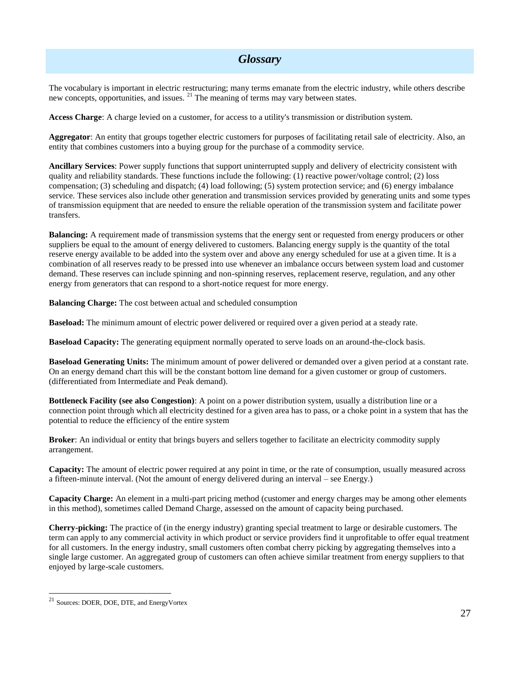## *Glossary*

The vocabulary is important in electric restructuring; many terms emanate from the electric industry, while others describe new concepts, opportunities, and issues.  $2<sup>1</sup>$  The meaning of terms may vary between states.

**Access Charge**: A charge levied on a customer, for access to a utility's transmission or distribution system.

**Aggregator**: An entity that groups together electric customers for purposes of facilitating retail sale of electricity. Also, an entity that combines customers into a buying group for the purchase of a commodity service.

**Ancillary Services**: Power supply functions that support uninterrupted supply and delivery of electricity consistent with quality and reliability standards. These functions include the following: (1) reactive power/voltage control; (2) loss compensation; (3) scheduling and dispatch; (4) load following; (5) system protection service; and (6) energy imbalance service. These services also include other generation and transmission services provided by generating units and some types of transmission equipment that are needed to ensure the reliable operation of the transmission system and facilitate power transfers.

**Balancing:** A requirement made of transmission systems that the energy sent or requested from energy producers or other suppliers be equal to the amount of energy delivered to customers. Balancing energy supply is the quantity of the total reserve energy available to be added into the system over and above any energy scheduled for use at a given time. It is a combination of all reserves ready to be pressed into use whenever an imbalance occurs between system load and customer demand. These reserves can include spinning and non-spinning reserves, replacement reserve, regulation, and any other energy from generators that can respond to a short-notice request for more energy.

**Balancing Charge:** The cost between actual and scheduled consumption

**Baseload:** The minimum amount of electric power delivered or required over a given period at a steady rate.

**Baseload Capacity:** The generating equipment normally operated to serve loads on an around-the-clock basis.

**Baseload Generating Units:** The minimum amount of power delivered or demanded over a given period at a constant rate. On an energy demand chart this will be the constant bottom line demand for a given customer or group of customers. (differentiated from Intermediate and Peak demand).

**Bottleneck Facility (see also Congestion)**: A point on a power distribution system, usually a distribution line or a connection point through which all electricity destined for a given area has to pass, or a choke point in a system that has the potential to reduce the efficiency of the entire system

**Broker**: An individual or entity that brings buyers and sellers together to facilitate an electricity commodity supply arrangement.

**Capacity:** The amount of electric power required at any point in time, or the rate of consumption, usually measured across a fifteen-minute interval. (Not the amount of energy delivered during an interval – see Energy.)

**Capacity Charge:** An element in a multi-part pricing method (customer and energy charges may be among other elements in this method), sometimes called Demand Charge, assessed on the amount of capacity being purchased.

**Cherry-picking:** The practice of (in the energy industry) granting special treatment to large or desirable customers. The term can apply to any commercial activity in which product or service providers find it unprofitable to offer equal treatment for all customers. In the energy industry, small customers often combat cherry picking by aggregating themselves into a single large customer. An aggregated group of customers can often achieve similar treatment from energy suppliers to that enjoyed by large-scale customers.

l

<sup>21</sup> Sources: DOER, DOE, DTE, and EnergyVortex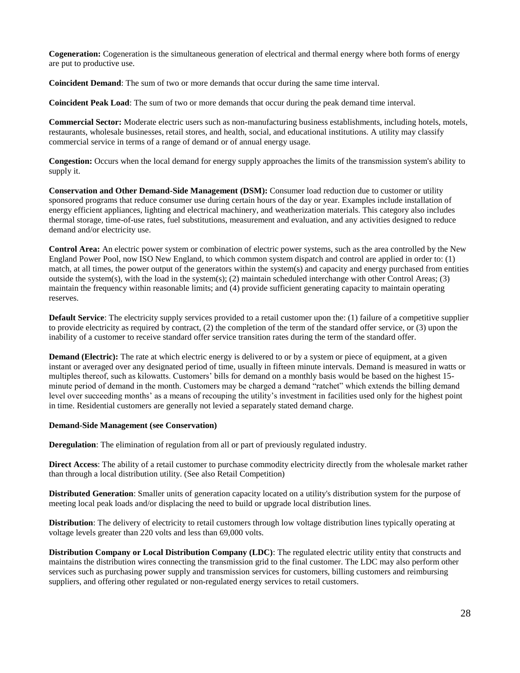**Cogeneration:** Cogeneration is the simultaneous generation of electrical and thermal energy where both forms of energy are put to productive use.

**Coincident Demand**: The sum of two or more demands that occur during the same time interval.

**Coincident Peak Load**: The sum of two or more demands that occur during the peak demand time interval.

**Commercial Sector:** Moderate electric users such as non-manufacturing business establishments, including hotels, motels, restaurants, wholesale businesses, retail stores, and health, social, and educational institutions. A utility may classify commercial service in terms of a range of demand or of annual energy usage.

**Congestion:** Occurs when the local demand for energy supply approaches the limits of the transmission system's ability to supply it.

**Conservation and Other Demand-Side Management (DSM):** Consumer load reduction due to customer or utility sponsored programs that reduce consumer use during certain hours of the day or year. Examples include installation of energy efficient appliances, lighting and electrical machinery, and weatherization materials. This category also includes thermal storage, time-of-use rates, fuel substitutions, measurement and evaluation, and any activities designed to reduce demand and/or electricity use.

**Control Area:** An electric power system or combination of electric power systems, such as the area controlled by the New England Power Pool, now ISO New England, to which common system dispatch and control are applied in order to: (1) match, at all times, the power output of the generators within the system(s) and capacity and energy purchased from entities outside the system(s), with the load in the system(s); (2) maintain scheduled interchange with other Control Areas; (3) maintain the frequency within reasonable limits; and (4) provide sufficient generating capacity to maintain operating reserves.

**Default Service**: The electricity supply services provided to a retail customer upon the: (1) failure of a competitive supplier to provide electricity as required by contract, (2) the completion of the term of the standard offer service, or (3) upon the inability of a customer to receive standard offer service transition rates during the term of the standard offer.

**Demand (Electric):** The rate at which electric energy is delivered to or by a system or piece of equipment, at a given instant or averaged over any designated period of time, usually in fifteen minute intervals. Demand is measured in watts or multiples thereof, such as kilowatts. Customers' bills for demand on a monthly basis would be based on the highest 15 minute period of demand in the month. Customers may be charged a demand "ratchet" which extends the billing demand level over succeeding months' as a means of recouping the utility's investment in facilities used only for the highest point in time. Residential customers are generally not levied a separately stated demand charge.

### **Demand-Side Management (see Conservation)**

**Deregulation**: The elimination of regulation from all or part of previously regulated industry.

**Direct Access:** The ability of a retail customer to purchase commodity electricity directly from the wholesale market rather than through a local distribution utility. (See also Retail Competition)

**Distributed Generation**: Smaller units of generation capacity located on a utility's distribution system for the purpose of meeting local peak loads and/or displacing the need to build or upgrade local distribution lines.

**Distribution**: The delivery of electricity to retail customers through low voltage distribution lines typically operating at voltage levels greater than 220 volts and less than 69,000 volts.

**Distribution Company or Local Distribution Company (LDC)**: The regulated electric utility entity that constructs and maintains the distribution wires connecting the transmission grid to the final customer. The LDC may also perform other services such as purchasing power supply and transmission services for customers, billing customers and reimbursing suppliers, and offering other regulated or non-regulated energy services to retail customers.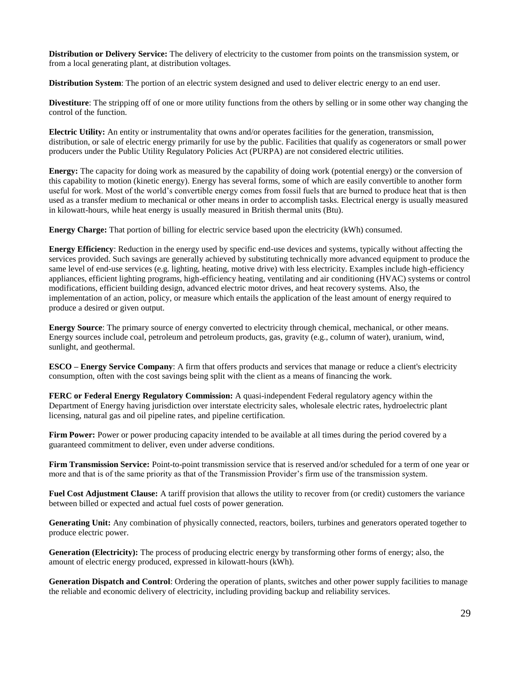**Distribution or Delivery Service:** The delivery of electricity to the customer from points on the transmission system, or from a local generating plant, at distribution voltages.

**Distribution System**: The portion of an electric system designed and used to deliver electric energy to an end user.

**Divestiture**: The stripping off of one or more utility functions from the others by selling or in some other way changing the control of the function.

**Electric Utility:** An entity or instrumentality that owns and/or operates facilities for the generation, transmission, distribution, or sale of electric energy primarily for use by the public. Facilities that qualify as cogenerators or small power producers under the Public Utility Regulatory Policies Act (PURPA) are not considered electric utilities.

**Energy:** The capacity for doing work as measured by the capability of doing work (potential energy) or the conversion of this capability to motion (kinetic energy). Energy has several forms, some of which are easily convertible to another form useful for work. Most of the world's convertible energy comes from fossil fuels that are burned to produce heat that is then used as a transfer medium to mechanical or other means in order to accomplish tasks. Electrical energy is usually measured in kilowatt-hours, while heat energy is usually measured in British thermal units (Btu).

**Energy Charge:** That portion of billing for electric service based upon the electricity (kWh) consumed.

**Energy Efficiency**: Reduction in the energy used by specific end-use devices and systems, typically without affecting the services provided. Such savings are generally achieved by substituting technically more advanced equipment to produce the same level of end-use services (e.g. lighting, heating, motive drive) with less electricity. Examples include high-efficiency appliances, efficient lighting programs, high-efficiency heating, ventilating and air conditioning (HVAC) systems or control modifications, efficient building design, advanced electric motor drives, and heat recovery systems. Also, the implementation of an action, policy, or measure which entails the application of the least amount of energy required to produce a desired or given output.

**Energy Source**: The primary source of energy converted to electricity through chemical, mechanical, or other means. Energy sources include coal, petroleum and petroleum products, gas, gravity (e.g., column of water), uranium, wind, sunlight, and geothermal.

**ESCO – Energy Service Company**: A firm that offers products and services that manage or reduce a client's electricity consumption, often with the cost savings being split with the client as a means of financing the work.

**FERC or Federal Energy Regulatory Commission:** A quasi-independent Federal regulatory agency within the Department of Energy having jurisdiction over interstate electricity sales, wholesale electric rates, hydroelectric plant licensing, natural gas and oil pipeline rates, and pipeline certification.

**Firm Power:** Power or power producing capacity intended to be available at all times during the period covered by a guaranteed commitment to deliver, even under adverse conditions.

**Firm Transmission Service:** Point-to-point transmission service that is reserved and/or scheduled for a term of one year or more and that is of the same priority as that of the Transmission Provider's firm use of the transmission system.

**Fuel Cost Adjustment Clause:** A tariff provision that allows the utility to recover from (or credit) customers the variance between billed or expected and actual fuel costs of power generation.

**Generating Unit:** Any combination of physically connected, reactors, boilers, turbines and generators operated together to produce electric power.

**Generation (Electricity):** The process of producing electric energy by transforming other forms of energy; also, the amount of electric energy produced, expressed in kilowatt-hours (kWh).

**Generation Dispatch and Control**: Ordering the operation of plants, switches and other power supply facilities to manage the reliable and economic delivery of electricity, including providing backup and reliability services.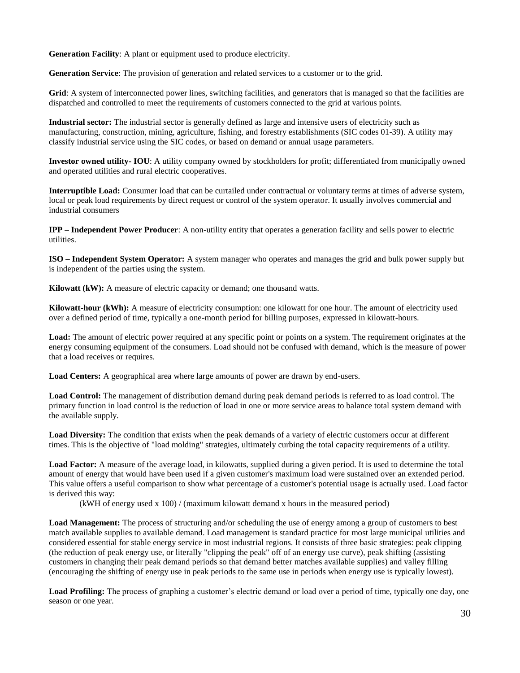**Generation Facility**: A plant or equipment used to produce electricity.

**Generation Service**: The provision of generation and related services to a customer or to the grid.

Grid: A system of interconnected power lines, switching facilities, and generators that is managed so that the facilities are dispatched and controlled to meet the requirements of customers connected to the grid at various points.

**Industrial sector:** The industrial sector is generally defined as large and intensive users of electricity such as manufacturing, construction, mining, agriculture, fishing, and forestry establishments (SIC codes 01-39). A utility may classify industrial service using the SIC codes, or based on demand or annual usage parameters.

**Investor owned utility- IOU**: A utility company owned by stockholders for profit; differentiated from municipally owned and operated utilities and rural electric cooperatives.

**Interruptible Load:** Consumer load that can be curtailed under contractual or voluntary terms at times of adverse system, local or peak load requirements by direct request or control of the system operator. It usually involves commercial and industrial consumers

**IPP – Independent Power Producer**: A non-utility entity that operates a generation facility and sells power to electric utilities.

**ISO – Independent System Operator:** A system manager who operates and manages the grid and bulk power supply but is independent of the parties using the system.

**Kilowatt (kW):** A measure of electric capacity or demand; one thousand watts.

**Kilowatt-hour (kWh):** A measure of electricity consumption: one kilowatt for one hour. The amount of electricity used over a defined period of time, typically a one-month period for billing purposes, expressed in kilowatt-hours.

Load: The amount of electric power required at any specific point or points on a system. The requirement originates at the energy consuming equipment of the consumers. Load should not be confused with demand, which is the measure of power that a load receives or requires.

**Load Centers:** A geographical area where large amounts of power are drawn by end-users.

**Load Control:** The management of distribution demand during peak demand periods is referred to as load control. The primary function in load control is the reduction of load in one or more service areas to balance total system demand with the available supply.

Load Diversity: The condition that exists when the peak demands of a variety of electric customers occur at different times. This is the objective of "load molding" strategies, ultimately curbing the total capacity requirements of a utility.

Load Factor: A measure of the average load, in kilowatts, supplied during a given period. It is used to determine the total amount of energy that would have been used if a given customer's maximum load were sustained over an extended period. This value offers a useful comparison to show what percentage of a customer's potential usage is actually used. Load factor is derived this way:

(kWH of energy used x 100) / (maximum kilowatt demand x hours in the measured period)

**Load Management:** The process of structuring and/or scheduling the use of energy among a group of customers to best match available supplies to available demand. Load management is standard practice for most large municipal utilities and considered essential for stable energy service in most industrial regions. It consists of three basic strategies: peak clipping (the reduction of peak energy use, or literally "clipping the peak" off of an energy use curve), peak shifting (assisting customers in changing their peak demand periods so that demand better matches available supplies) and valley filling (encouraging the shifting of energy use in peak periods to the same use in periods when energy use is typically lowest).

**Load Profiling:** The process of graphing a customer's electric demand or load over a period of time, typically one day, one season or one year.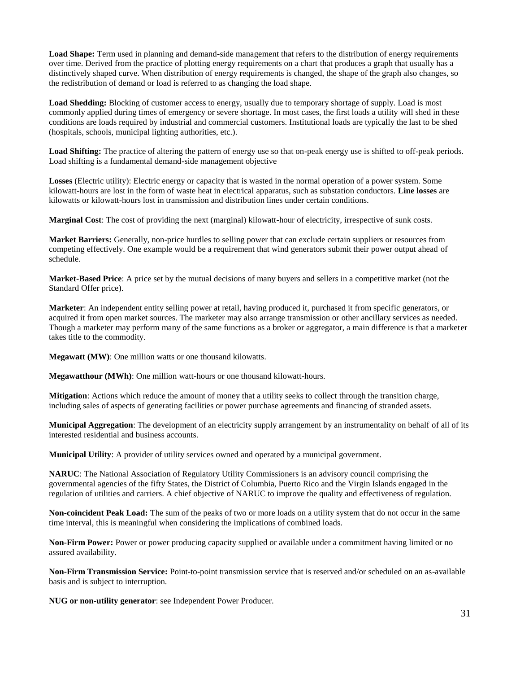**Load Shape:** Term used in planning and demand-side management that refers to the distribution of energy requirements over time. Derived from the practice of plotting energy requirements on a chart that produces a graph that usually has a distinctively shaped curve. When distribution of energy requirements is changed, the shape of the graph also changes, so the redistribution of demand or load is referred to as changing the load shape.

**Load Shedding:** Blocking of customer access to energy, usually due to temporary shortage of supply. Load is most commonly applied during times of emergency or severe shortage. In most cases, the first loads a utility will shed in these conditions are loads required by industrial and commercial customers. Institutional loads are typically the last to be shed (hospitals, schools, municipal lighting authorities, etc.).

**Load Shifting:** The practice of altering the pattern of energy use so that on-peak energy use is shifted to off-peak periods. Load shifting is a fundamental demand-side management objective

**Losses** (Electric utility): Electric energy or capacity that is wasted in the normal operation of a power system. Some kilowatt-hours are lost in the form of waste heat in electrical apparatus, such as substation conductors. **Line losses** are kilowatts or kilowatt-hours lost in transmission and distribution lines under certain conditions.

**Marginal Cost**: The cost of providing the next (marginal) kilowatt-hour of electricity, irrespective of sunk costs.

**Market Barriers:** Generally, non-price hurdles to selling power that can exclude certain suppliers or resources from competing effectively. One example would be a requirement that wind generators submit their power output ahead of schedule.

**Market-Based Price**: A price set by the mutual decisions of many buyers and sellers in a competitive market (not the Standard Offer price).

**Marketer**: An independent entity selling power at retail, having produced it, purchased it from specific generators, or acquired it from open market sources. The marketer may also arrange transmission or other ancillary services as needed. Though a marketer may perform many of the same functions as a broker or aggregator, a main difference is that a marketer takes title to the commodity.

**Megawatt (MW)**: One million watts or one thousand kilowatts.

**Megawatthour (MWh)**: One million watt-hours or one thousand kilowatt-hours.

**Mitigation**: Actions which reduce the amount of money that a utility seeks to collect through the transition charge, including sales of aspects of generating facilities or power purchase agreements and financing of stranded assets.

**Municipal Aggregation**: The development of an electricity supply arrangement by an instrumentality on behalf of all of its interested residential and business accounts.

**Municipal Utility**: A provider of utility services owned and operated by a municipal government.

**NARUC**: The National Association of Regulatory Utility Commissioners is an advisory council comprising the governmental agencies of the fifty States, the District of Columbia, Puerto Rico and the Virgin Islands engaged in the regulation of utilities and carriers. A chief objective of NARUC to improve the quality and effectiveness of regulation.

**Non-coincident Peak Load:** The sum of the peaks of two or more loads on a utility system that do not occur in the same time interval, this is meaningful when considering the implications of combined loads.

**Non-Firm Power:** Power or power producing capacity supplied or available under a commitment having limited or no assured availability.

**Non-Firm Transmission Service:** Point-to-point transmission service that is reserved and/or scheduled on an as-available basis and is subject to interruption.

**NUG or non-utility generator**: see Independent Power Producer.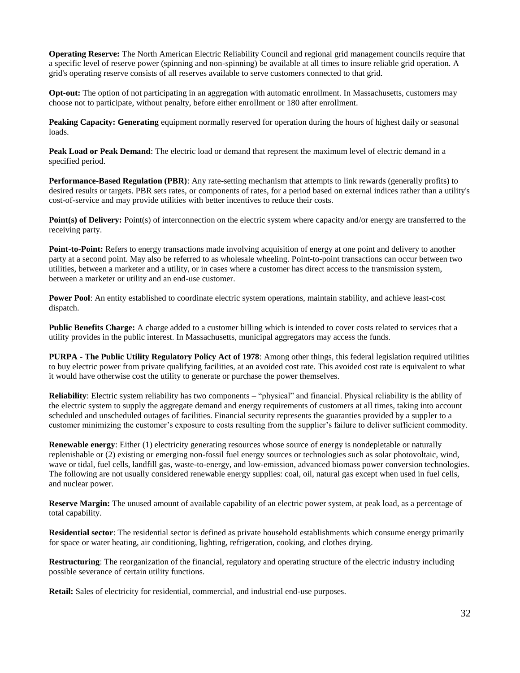**Operating Reserve:** The North American Electric Reliability Council and regional grid management councils require that a specific level of reserve power (spinning and non-spinning) be available at all times to insure reliable grid operation. A grid's operating reserve consists of all reserves available to serve customers connected to that grid.

**Opt-out:** The option of not participating in an aggregation with automatic enrollment. In Massachusetts, customers may choose not to participate, without penalty, before either enrollment or 180 after enrollment.

**Peaking Capacity: Generating** equipment normally reserved for operation during the hours of highest daily or seasonal loads.

**Peak Load or Peak Demand**: The electric load or demand that represent the maximum level of electric demand in a specified period.

**Performance-Based Regulation (PBR)**: Any rate-setting mechanism that attempts to link rewards (generally profits) to desired results or targets. PBR sets rates, or components of rates, for a period based on external indices rather than a utility's cost-of-service and may provide utilities with better incentives to reduce their costs.

**Point(s) of Delivery:** Point(s) of interconnection on the electric system where capacity and/or energy are transferred to the receiving party.

**Point-to-Point:** Refers to energy transactions made involving acquisition of energy at one point and delivery to another party at a second point. May also be referred to as wholesale wheeling. Point-to-point transactions can occur between two utilities, between a marketer and a utility, or in cases where a customer has direct access to the transmission system, between a marketer or utility and an end-use customer.

**Power Pool**: An entity established to coordinate electric system operations, maintain stability, and achieve least-cost dispatch.

**Public Benefits Charge:** A charge added to a customer billing which is intended to cover costs related to services that a utility provides in the public interest. In Massachusetts, municipal aggregators may access the funds.

**PURPA - The Public Utility Regulatory Policy Act of 1978**: Among other things, this federal legislation required utilities to buy electric power from private qualifying facilities, at an avoided cost rate. This avoided cost rate is equivalent to what it would have otherwise cost the utility to generate or purchase the power themselves.

Reliability: Electric system reliability has two components – "physical" and financial. Physical reliability is the ability of the electric system to supply the aggregate demand and energy requirements of customers at all times, taking into account scheduled and unscheduled outages of facilities. Financial security represents the guaranties provided by a suppler to a customer minimizing the customer's exposure to costs resulting from the supplier's failure to deliver sufficient commodity.

**Renewable energy**: Either (1) electricity generating resources whose source of energy is nondepletable or naturally replenishable or (2) existing or emerging non-fossil fuel energy sources or technologies such as solar photovoltaic, wind, wave or tidal, fuel cells, landfill gas, waste-to-energy, and low-emission, advanced biomass power conversion technologies. The following are not usually considered renewable energy supplies: coal, oil, natural gas except when used in fuel cells, and nuclear power.

**Reserve Margin:** The unused amount of available capability of an electric power system, at peak load, as a percentage of total capability.

**Residential sector**: The residential sector is defined as private household establishments which consume energy primarily for space or water heating, air conditioning, lighting, refrigeration, cooking, and clothes drying.

**Restructuring**: The reorganization of the financial, regulatory and operating structure of the electric industry including possible severance of certain utility functions.

**Retail:** Sales of electricity for residential, commercial, and industrial end-use purposes.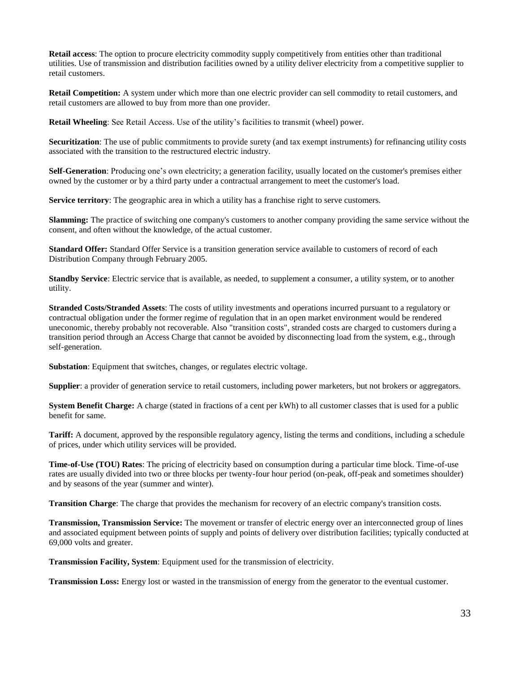**Retail access**: The option to procure electricity commodity supply competitively from entities other than traditional utilities. Use of transmission and distribution facilities owned by a utility deliver electricity from a competitive supplier to retail customers.

**Retail Competition:** A system under which more than one electric provider can sell commodity to retail customers, and retail customers are allowed to buy from more than one provider.

**Retail Wheeling**: See Retail Access. Use of the utility's facilities to transmit (wheel) power.

**Securitization**: The use of public commitments to provide surety (and tax exempt instruments) for refinancing utility costs associated with the transition to the restructured electric industry.

**Self-Generation**: Producing one's own electricity; a generation facility, usually located on the customer's premises either owned by the customer or by a third party under a contractual arrangement to meet the customer's load.

**Service territory**: The geographic area in which a utility has a franchise right to serve customers.

**Slamming:** The practice of switching one company's customers to another company providing the same service without the consent, and often without the knowledge, of the actual customer.

**Standard Offer:** Standard Offer Service is a transition generation service available to customers of record of each Distribution Company through February 2005.

**Standby Service**: Electric service that is available, as needed, to supplement a consumer, a utility system, or to another utility.

**Stranded Costs/Stranded Assets**: The costs of utility investments and operations incurred pursuant to a regulatory or contractual obligation under the former regime of regulation that in an open market environment would be rendered uneconomic, thereby probably not recoverable. Also "transition costs", stranded costs are charged to customers during a transition period through an Access Charge that cannot be avoided by disconnecting load from the system, e.g., through self-generation.

**Substation**: Equipment that switches, changes, or regulates electric voltage.

**Supplier**: a provider of generation service to retail customers, including power marketers, but not brokers or aggregators.

**System Benefit Charge:** A charge (stated in fractions of a cent per kWh) to all customer classes that is used for a public benefit for same.

**Tariff:** A document, approved by the responsible regulatory agency, listing the terms and conditions, including a schedule of prices, under which utility services will be provided.

**Time-of-Use (TOU) Rates**: The pricing of electricity based on consumption during a particular time block. Time-of-use rates are usually divided into two or three blocks per twenty-four hour period (on-peak, off-peak and sometimes shoulder) and by seasons of the year (summer and winter).

**Transition Charge**: The charge that provides the mechanism for recovery of an electric company's transition costs.

**Transmission, Transmission Service:** The movement or transfer of electric energy over an interconnected group of lines and associated equipment between points of supply and points of delivery over distribution facilities; typically conducted at 69,000 volts and greater.

**Transmission Facility, System**: Equipment used for the transmission of electricity.

**Transmission Loss:** Energy lost or wasted in the transmission of energy from the generator to the eventual customer.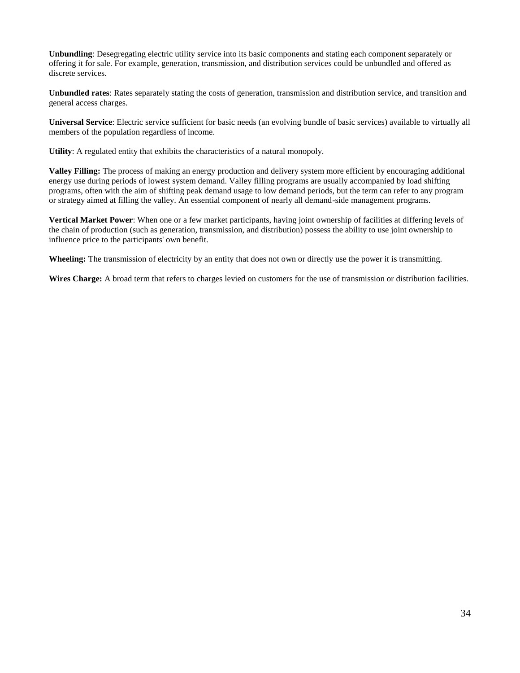**Unbundling**: Desegregating electric utility service into its basic components and stating each component separately or offering it for sale. For example, generation, transmission, and distribution services could be unbundled and offered as discrete services.

**Unbundled rates**: Rates separately stating the costs of generation, transmission and distribution service, and transition and general access charges.

**Universal Service**: Electric service sufficient for basic needs (an evolving bundle of basic services) available to virtually all members of the population regardless of income.

**Utility**: A regulated entity that exhibits the characteristics of a natural monopoly.

**Valley Filling:** The process of making an energy production and delivery system more efficient by encouraging additional energy use during periods of lowest system demand. Valley filling programs are usually accompanied by load shifting programs, often with the aim of shifting peak demand usage to low demand periods, but the term can refer to any program or strategy aimed at filling the valley. An essential component of nearly all demand-side management programs.

**Vertical Market Power**: When one or a few market participants, having joint ownership of facilities at differing levels of the chain of production (such as generation, transmission, and distribution) possess the ability to use joint ownership to influence price to the participants' own benefit.

**Wheeling:** The transmission of electricity by an entity that does not own or directly use the power it is transmitting.

**Wires Charge:** A broad term that refers to charges levied on customers for the use of transmission or distribution facilities.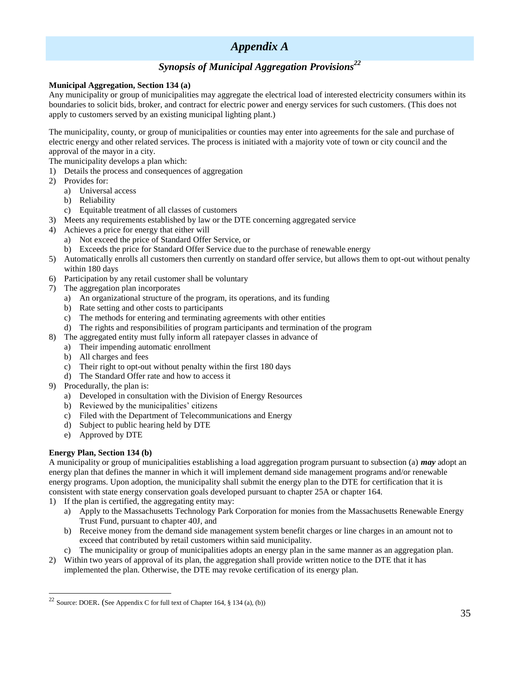## *Appendix A*

## *Synopsis of Municipal Aggregation Provisions<sup>22</sup>*

### **Municipal Aggregation, Section 134 (a)**

Any municipality or group of municipalities may aggregate the electrical load of interested electricity consumers within its boundaries to solicit bids, broker, and contract for electric power and energy services for such customers. (This does not apply to customers served by an existing municipal lighting plant.)

The municipality, county, or group of municipalities or counties may enter into agreements for the sale and purchase of electric energy and other related services. The process is initiated with a majority vote of town or city council and the approval of the mayor in a city.

The municipality develops a plan which:

- 1) Details the process and consequences of aggregation
- 2) Provides for:
	- a) Universal access
	- b) Reliability
	- c) Equitable treatment of all classes of customers
- 3) Meets any requirements established by law or the DTE concerning aggregated service
- 4) Achieves a price for energy that either will
	- a) Not exceed the price of Standard Offer Service, or
	- b) Exceeds the price for Standard Offer Service due to the purchase of renewable energy
- 5) Automatically enrolls all customers then currently on standard offer service, but allows them to opt-out without penalty within 180 days
- 6) Participation by any retail customer shall be voluntary
- 7) The aggregation plan incorporates
	- a) An organizational structure of the program, its operations, and its funding
	- b) Rate setting and other costs to participants
	- c) The methods for entering and terminating agreements with other entities
	- d) The rights and responsibilities of program participants and termination of the program
- 8) The aggregated entity must fully inform all ratepayer classes in advance of
	- a) Their impending automatic enrollment
		- b) All charges and fees
		- c) Their right to opt-out without penalty within the first 180 days
	- d) The Standard Offer rate and how to access it
- 9) Procedurally, the plan is:
	- a) Developed in consultation with the Division of Energy Resources
	- b) Reviewed by the municipalities' citizens
	- c) Filed with the Department of Telecommunications and Energy
	- d) Subject to public hearing held by DTE
	- e) Approved by DTE

### **Energy Plan, Section 134 (b)**

l

A municipality or group of municipalities establishing a load aggregation program pursuant to subsection (a) *may* adopt an energy plan that defines the manner in which it will implement demand side management programs and/or renewable energy programs. Upon adoption, the municipality shall submit the energy plan to the DTE for certification that it is consistent with state energy conservation goals developed pursuant to chapter 25A or chapter 164.

- 1) If the plan is certified, the aggregating entity may:
	- a) Apply to the Massachusetts Technology Park Corporation for monies from the Massachusetts Renewable Energy Trust Fund, pursuant to chapter 40J, and
	- b) Receive money from the demand side management system benefit charges or line charges in an amount not to exceed that contributed by retail customers within said municipality.
	- c) The municipality or group of municipalities adopts an energy plan in the same manner as an aggregation plan.
- 2) Within two years of approval of its plan, the aggregation shall provide written notice to the DTE that it has implemented the plan. Otherwise, the DTE may revoke certification of its energy plan.

 $22$  Source: DOER. (See Appendix C for full text of Chapter 164, § 134 (a), (b))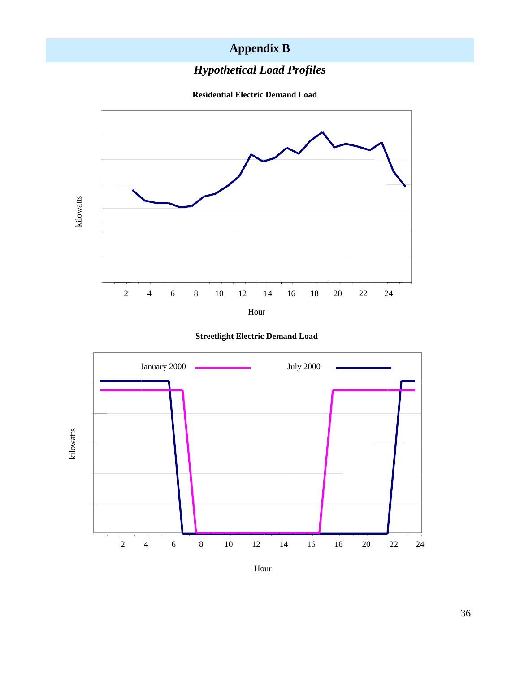## **Appendix B**

## *Hypothetical Load Profiles*

**Residential Electric Demand Load**







Hour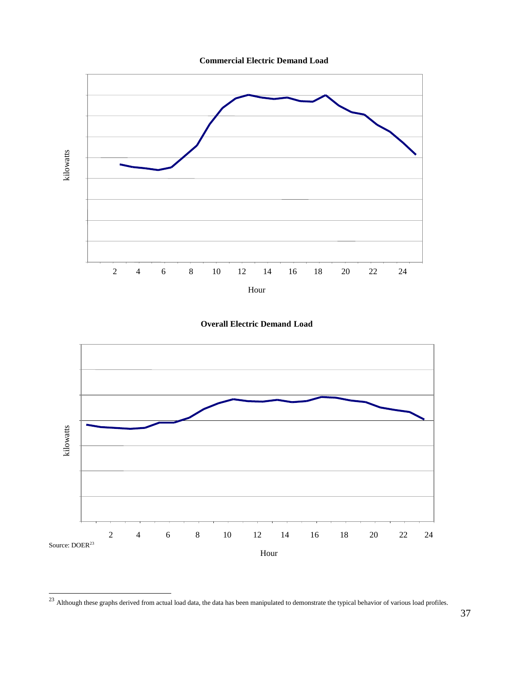





 $^{23}$  Although these graphs derived from actual load data, the data has been manipulated to demonstrate the typical behavior of various load profiles.

l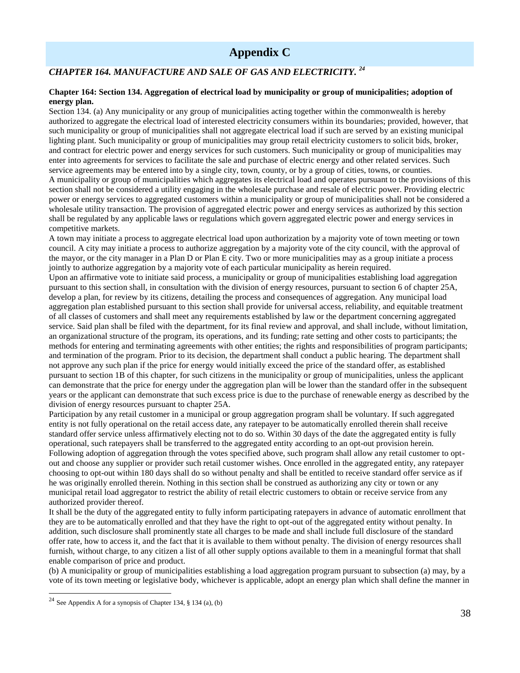## **Appendix C**

### *CHAPTER 164. MANUFACTURE AND SALE OF GAS AND ELECTRICITY. <sup>24</sup>*

#### **Chapter 164: Section 134. Aggregation of electrical load by municipality or group of municipalities; adoption of energy plan.**

Section 134. (a) Any municipality or any group of municipalities acting together within the commonwealth is hereby authorized to aggregate the electrical load of interested electricity consumers within its boundaries; provided, however, that such municipality or group of municipalities shall not aggregate electrical load if such are served by an existing municipal lighting plant. Such municipality or group of municipalities may group retail electricity customers to solicit bids, broker, and contract for electric power and energy services for such customers. Such municipality or group of municipalities may enter into agreements for services to facilitate the sale and purchase of electric energy and other related services. Such service agreements may be entered into by a single city, town, county, or by a group of cities, towns, or counties. A municipality or group of municipalities which aggregates its electrical load and operates pursuant to the provisions of this section shall not be considered a utility engaging in the wholesale purchase and resale of electric power. Providing electric power or energy services to aggregated customers within a municipality or group of municipalities shall not be considered a wholesale utility transaction. The provision of aggregated electric power and energy services as authorized by this section shall be regulated by any applicable laws or regulations which govern aggregated electric power and energy services in competitive markets.

A town may initiate a process to aggregate electrical load upon authorization by a majority vote of town meeting or town council. A city may initiate a process to authorize aggregation by a majority vote of the city council, with the approval of the mayor, or the city manager in a Plan D or Plan E city. Two or more municipalities may as a group initiate a process jointly to authorize aggregation by a majority vote of each particular municipality as herein required.

Upon an affirmative vote to initiate said process, a municipality or group of municipalities establishing load aggregation pursuant to this section shall, in consultation with the division of energy resources, pursuant to section 6 of chapter 25A, develop a plan, for review by its citizens, detailing the process and consequences of aggregation. Any municipal load aggregation plan established pursuant to this section shall provide for universal access, reliability, and equitable treatment of all classes of customers and shall meet any requirements established by law or the department concerning aggregated service. Said plan shall be filed with the department, for its final review and approval, and shall include, without limitation, an organizational structure of the program, its operations, and its funding; rate setting and other costs to participants; the methods for entering and terminating agreements with other entities; the rights and responsibilities of program participants; and termination of the program. Prior to its decision, the department shall conduct a public hearing. The department shall not approve any such plan if the price for energy would initially exceed the price of the standard offer, as established pursuant to section 1B of this chapter, for such citizens in the municipality or group of municipalities, unless the applicant can demonstrate that the price for energy under the aggregation plan will be lower than the standard offer in the subsequent years or the applicant can demonstrate that such excess price is due to the purchase of renewable energy as described by the division of energy resources pursuant to chapter 25A.

Participation by any retail customer in a municipal or group aggregation program shall be voluntary. If such aggregated entity is not fully operational on the retail access date, any ratepayer to be automatically enrolled therein shall receive standard offer service unless affirmatively electing not to do so. Within 30 days of the date the aggregated entity is fully operational, such ratepayers shall be transferred to the aggregated entity according to an opt-out provision herein. Following adoption of aggregation through the votes specified above, such program shall allow any retail customer to optout and choose any supplier or provider such retail customer wishes. Once enrolled in the aggregated entity, any ratepayer choosing to opt-out within 180 days shall do so without penalty and shall be entitled to receive standard offer service as if he was originally enrolled therein. Nothing in this section shall be construed as authorizing any city or town or any municipal retail load aggregator to restrict the ability of retail electric customers to obtain or receive service from any authorized provider thereof.

It shall be the duty of the aggregated entity to fully inform participating ratepayers in advance of automatic enrollment that they are to be automatically enrolled and that they have the right to opt-out of the aggregated entity without penalty. In addition, such disclosure shall prominently state all charges to be made and shall include full disclosure of the standard offer rate, how to access it, and the fact that it is available to them without penalty. The division of energy resources shall furnish, without charge, to any citizen a list of all other supply options available to them in a meaningful format that shall enable comparison of price and product.

(b) A municipality or group of municipalities establishing a load aggregation program pursuant to subsection (a) may, by a vote of its town meeting or legislative body, whichever is applicable, adopt an energy plan which shall define the manner in

l

<sup>&</sup>lt;sup>24</sup> See Appendix A for a synopsis of Chapter 134,  $§$  134 (a), (b)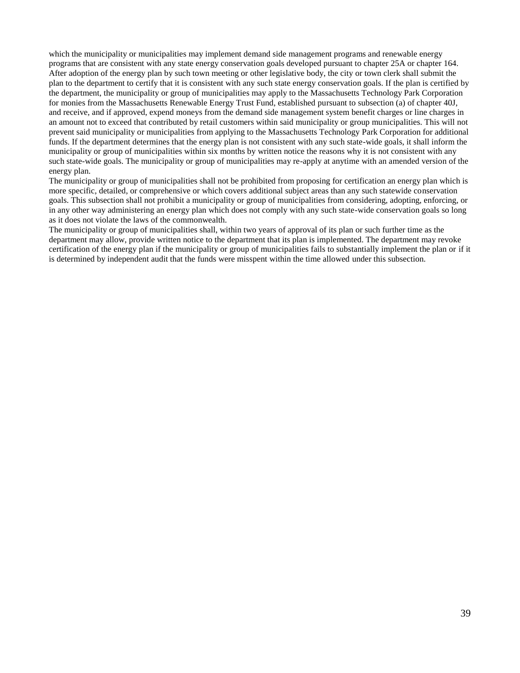which the municipality or municipalities may implement demand side management programs and renewable energy programs that are consistent with any state energy conservation goals developed pursuant to chapter 25A or chapter 164. After adoption of the energy plan by such town meeting or other legislative body, the city or town clerk shall submit the plan to the department to certify that it is consistent with any such state energy conservation goals. If the plan is certified by the department, the municipality or group of municipalities may apply to the Massachusetts Technology Park Corporation for monies from the Massachusetts Renewable Energy Trust Fund, established pursuant to subsection (a) of chapter 40J, and receive, and if approved, expend moneys from the demand side management system benefit charges or line charges in an amount not to exceed that contributed by retail customers within said municipality or group municipalities. This will not prevent said municipality or municipalities from applying to the Massachusetts Technology Park Corporation for additional funds. If the department determines that the energy plan is not consistent with any such state-wide goals, it shall inform the municipality or group of municipalities within six months by written notice the reasons why it is not consistent with any such state-wide goals. The municipality or group of municipalities may re-apply at anytime with an amended version of the energy plan.

The municipality or group of municipalities shall not be prohibited from proposing for certification an energy plan which is more specific, detailed, or comprehensive or which covers additional subject areas than any such statewide conservation goals. This subsection shall not prohibit a municipality or group of municipalities from considering, adopting, enforcing, or in any other way administering an energy plan which does not comply with any such state-wide conservation goals so long as it does not violate the laws of the commonwealth.

The municipality or group of municipalities shall, within two years of approval of its plan or such further time as the department may allow, provide written notice to the department that its plan is implemented. The department may revoke certification of the energy plan if the municipality or group of municipalities fails to substantially implement the plan or if it is determined by independent audit that the funds were misspent within the time allowed under this subsection.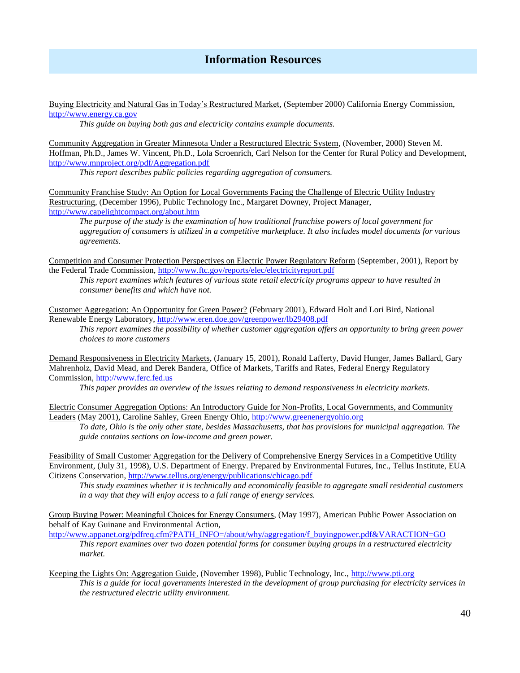## **Information Resources**

Buying Electricity and Natural Gas in Today's Restructured Market, (September 2000) California Energy Commission, [http://www.energy.ca.gov](http://www.energy.ca.gov/)

*This guide on buying both gas and electricity contains example documents.*

Community Aggregation in Greater Minnesota Under a Restructured Electric System, (November, 2000) Steven M. Hoffman, Ph.D., James W. Vincent, Ph.D., Lola Scroenrich, Carl Nelson for the Center for Rural Policy and Development, <http://www.mnproject.org/pdf/Aggregation.pdf>

*This report describes public policies regarding aggregation of consumers.*

Community Franchise Study: An Option for Local Governments Facing the Challenge of Electric Utility Industry Restructuring, (December 1996), Public Technology Inc., Margaret Downey, Project Manager, <http://www.capelightcompact.org/about.htm>

*The purpose of the study is the examination of how traditional franchise powers of local government for aggregation of consumers is utilized in a competitive marketplace. It also includes model documents for various agreements.*

Competition and Consumer Protection Perspectives on Electric Power Regulatory Reform (September, 2001), Report by the Federal Trade Commission,<http://www.ftc.gov/reports/elec/electricityreport.pdf>

*This report examines which features of various state retail electricity programs appear to have resulted in consumer benefits and which have not.*

Customer Aggregation: An Opportunity for Green Power? (February 2001), Edward Holt and Lori Bird, National Renewable Energy Laboratory,<http://www.eren.doe.gov/greenpower/lb29408.pdf>

*This report examines the possibility of whether customer aggregation offers an opportunity to bring green power choices to more customers*

Demand Responsiveness in Electricity Markets, (January 15, 2001), Ronald Lafferty, David Hunger, James Ballard, Gary Mahrenholz, David Mead, and Derek Bandera, Office of Markets, Tariffs and Rates, Federal Energy Regulatory Commission, [http://www.ferc.fed.us](http://www.ferc.fed.us/)

*This paper provides an overview of the issues relating to demand responsiveness in electricity markets.*

Electric Consumer Aggregation Options: An Introductory Guide for Non-Profits, Local Governments, and Community Leaders (May 2001), Caroline Sahley, Green Energy Ohio, [http://www.greenenergyohio.org](http://www.greenenergyohio.org/)

*To date, Ohio is the only other state, besides Massachusetts, that has provisions for municipal aggregation. The guide contains sections on low-income and green power.*

Feasibility of Small Customer Aggregation for the Delivery of Comprehensive Energy Services in a Competitive Utility Environment, (July 31, 1998), U.S. Department of Energy. Prepared by Environmental Futures, Inc., Tellus Institute, EUA Citizens Conservation,<http://www.tellus.org/energy/publications/chicago.pdf>

*This study examines whether it is technically and economically feasible to aggregate small residential customers in a way that they will enjoy access to a full range of energy services.*

Group Buying Power: Meaningful Choices for Energy Consumers, (May 1997), American Public Power Association on behalf of Kay Guinane and Environmental Action,

[http://www.appanet.org/pdfreq.cfm?PATH\\_INFO=/about/why/aggregation/f\\_buyingpower.pdf&VARACTION=GO](http://www.appanet.org/pdfreq.cfm?PATH_INFO=/about/why/aggregation/f_buyingpower.pdf&VARACTION=GO) *This report examines over two dozen potential forms for consumer buying groups in a restructured electricity market.*

Keeping the Lights On: Aggregation Guide, (November 1998), Public Technology, Inc., [http://www.pti.org](http://www.pti.org/) *This is a guide for local governments interested in the development of group purchasing for electricity services in the restructured electric utility environment.*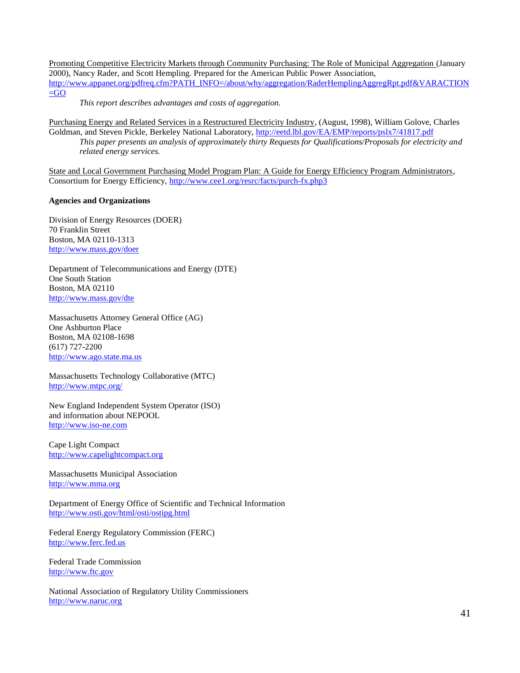Promoting Competitive Electricity Markets through Community Purchasing: The Role of Municipal Aggregation (January 2000), Nancy Rader, and Scott Hempling. Prepared for the American Public Power Association, [http://www.appanet.org/pdfreq.cfm?PATH\\_INFO=/about/why/aggregation/RaderHemplingAggregRpt.pdf&VARACTION](http://www.appanet.org/pdfreq.cfm?PATH_INFO=/about/why/aggregation/RaderHemplingAggregRpt.pdf&VARACTION=GO)  $=$ GO

*This report describes advantages and costs of aggregation.*

Purchasing Energy and Related Services in a Restructured Electricity Industry, (August, 1998), William Golove, Charles Goldman, and Steven Pickle, Berkeley National Laboratory,<http://eetd.lbl.gov/EA/EMP/reports/pslx7/41817.pdf> *This paper presents an analysis of approximately thirty Requests for Qualifications/Proposals for electricity and related energy services.*

State and Local Government Purchasing Model Program Plan: A Guide for Energy Efficiency Program Administrators, Consortium for Energy Efficiency,<http://www.cee1.org/resrc/facts/purch-fx.php3>

### **Agencies and Organizations**

Division of Energy Resources (DOER) 70 Franklin Street Boston, MA 02110-1313 <http://www.mass.gov/doer>

Department of Telecommunications and Energy (DTE) One South Station Boston, MA 02110 <http://www.mass.gov/dte>

Massachusetts Attorney General Office (AG) One Ashburton Place Boston, MA 02108-1698 (617) 727-2200 [http://www.ago.state.ma.us](http://www.ago.state.ma.us/)

Massachusetts Technology Collaborative (MTC) <http://www.mtpc.org/>

New England Independent System Operator (ISO) and information about NEPOOL [http://www.iso-ne.com](http://www.iso-ne.com/)

Cape Light Compact [http://www.capelightcompact.org](http://www.capelightcompact.org/)

Massachusetts Municipal Association [http://www.mma.org](http://www.mma.org/)

Department of Energy Office of Scientific and Technical Information <http://www.osti.gov/html/osti/ostipg.html>

Federal Energy Regulatory Commission (FERC) [http://www.ferc.fed.us](http://www.ferc.fed.us/)

Federal Trade Commission [http://www.ftc.gov](http://www.ftc.gov/)

National Association of Regulatory Utility Commissioners [http://www.naruc.org](http://www.naruc.org/)